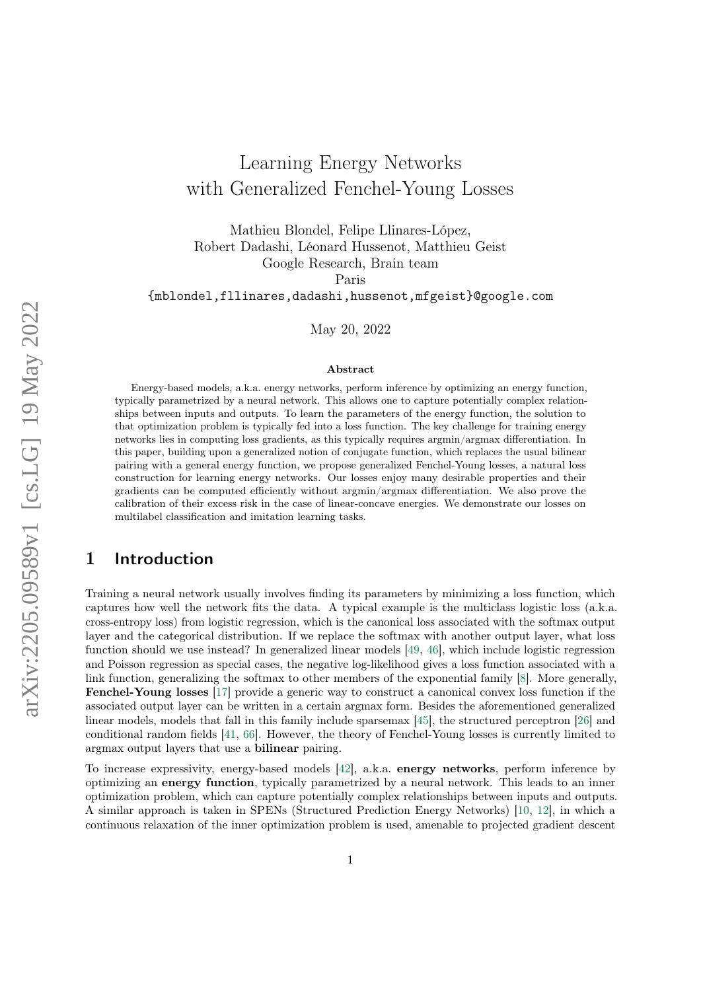# Learning Energy Networks with Generalized Fenchel-Young Losses

Mathieu Blondel, Felipe Llinares-López, Robert Dadashi, Léonard Hussenot, Matthieu Geist Google Research, Brain team

Paris

{mblondel,fllinares,dadashi,hussenot,mfgeist}@google.com

May 20, 2022

#### Abstract

Energy-based models, a.k.a. energy networks, perform inference by optimizing an energy function, typically parametrized by a neural network. This allows one to capture potentially complex relationships between inputs and outputs. To learn the parameters of the energy function, the solution to that optimization problem is typically fed into a loss function. The key challenge for training energy networks lies in computing loss gradients, as this typically requires argmin/argmax differentiation. In this paper, building upon a generalized notion of conjugate function, which replaces the usual bilinear pairing with a general energy function, we propose generalized Fenchel-Young losses, a natural loss construction for learning energy networks. Our losses enjoy many desirable properties and their gradients can be computed efficiently without argmin/argmax differentiation. We also prove the calibration of their excess risk in the case of linear-concave energies. We demonstrate our losses on multilabel classification and imitation learning tasks.

### 1 Introduction

Training a neural network usually involves finding its parameters by minimizing a loss function, which captures how well the network fits the data. A typical example is the multiclass logistic loss (a.k.a. cross-entropy loss) from logistic regression, which is the canonical loss associated with the softmax output layer and the categorical distribution. If we replace the softmax with another output layer, what loss function should we use instead? In generalized linear models [\[49,](#page-13-0) [46\]](#page-13-0), which include logistic regression and Poisson regression as special cases, the negative log-likelihood gives a loss function associated with a link function, generalizing the softmax to other members of the exponential family [\[8\]](#page-11-0). More generally, Fenchel-Young losses [\[17\]](#page-11-0) provide a generic way to construct a canonical convex loss function if the associated output layer can be written in a certain argmax form. Besides the aforementioned generalized linear models, models that fall in this family include sparsemax [\[45\]](#page-13-0), the structured perceptron [\[26\]](#page-12-0) and conditional random fields [\[41,](#page-13-0) [66\]](#page-14-0). However, the theory of Fenchel-Young losses is currently limited to argmax output layers that use a bilinear pairing.

To increase expressivity, energy-based models [\[42\]](#page-13-0), a.k.a. energy networks, perform inference by optimizing an energy function, typically parametrized by a neural network. This leads to an inner optimization problem, which can capture potentially complex relationships between inputs and outputs. A similar approach is taken in SPENs (Structured Prediction Energy Networks) [\[10,](#page-11-0) [12\]](#page-11-0), in which a continuous relaxation of the inner optimization problem is used, amenable to projected gradient descent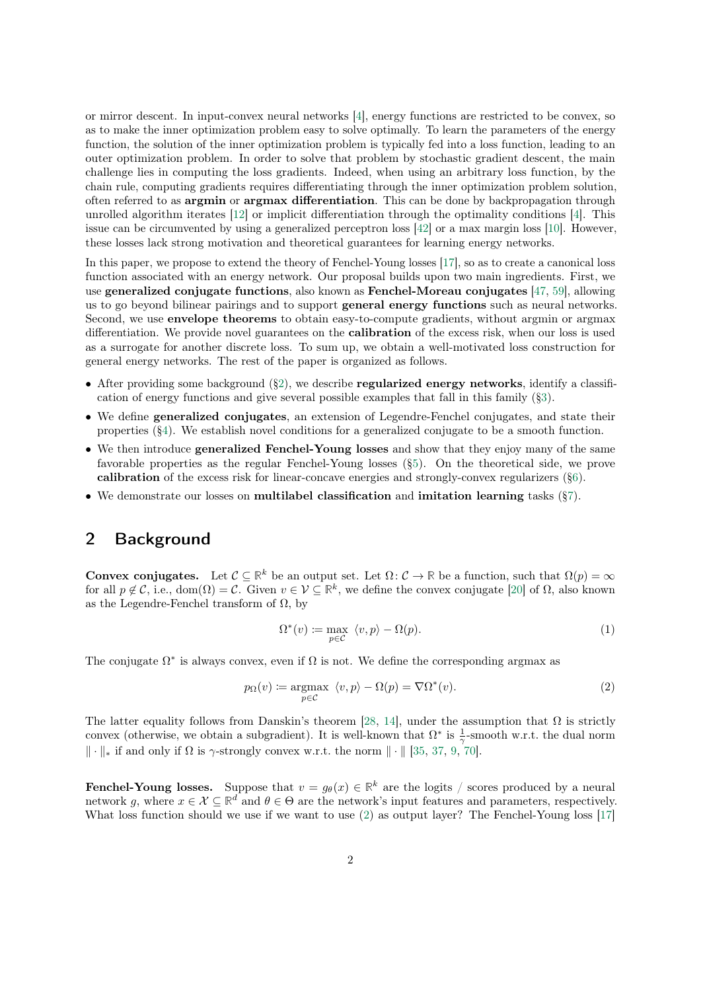<span id="page-1-0"></span>or mirror descent. In input-convex neural networks [\[4\]](#page-11-0), energy functions are restricted to be convex, so as to make the inner optimization problem easy to solve optimally. To learn the parameters of the energy function, the solution of the inner optimization problem is typically fed into a loss function, leading to an outer optimization problem. In order to solve that problem by stochastic gradient descent, the main challenge lies in computing the loss gradients. Indeed, when using an arbitrary loss function, by the chain rule, computing gradients requires differentiating through the inner optimization problem solution, often referred to as argmin or argmax differentiation. This can be done by backpropagation through unrolled algorithm iterates [\[12\]](#page-11-0) or implicit differentiation through the optimality conditions [\[4\]](#page-11-0). This issue can be circumvented by using a generalized perceptron loss [\[42\]](#page-13-0) or a max margin loss [\[10\]](#page-11-0). However, these losses lack strong motivation and theoretical guarantees for learning energy networks.

In this paper, we propose to extend the theory of Fenchel-Young losses [\[17\]](#page-11-0), so as to create a canonical loss function associated with an energy network. Our proposal builds upon two main ingredients. First, we use generalized conjugate functions, also known as Fenchel-Moreau conjugates [\[47,](#page-13-0) [59\]](#page-14-0), allowing us to go beyond bilinear pairings and to support general energy functions such as neural networks. Second, we use envelope theorems to obtain easy-to-compute gradients, without argmin or argmax differentiation. We provide novel guarantees on the calibration of the excess risk, when our loss is used as a surrogate for another discrete loss. To sum up, we obtain a well-motivated loss construction for general energy networks. The rest of the paper is organized as follows.

- After providing some background  $(\S_2)$ , we describe **regularized energy networks**, identify a classification of energy functions and give several possible examples that fall in this family ([§3\)](#page-2-0).
- We define generalized conjugates, an extension of Legendre-Fenchel conjugates, and state their properties ([§4\)](#page-4-0). We establish novel conditions for a generalized conjugate to be a smooth function.
- We then introduce **generalized Fenchel-Young losses** and show that they enjoy many of the same favorable properties as the regular Fenchel-Young losses ([§5\)](#page-6-0). On the theoretical side, we prove calibration of the excess risk for linear-concave energies and strongly-convex regularizers ([§6\)](#page-7-0).
- We demonstrate our losses on multilabel classification and imitation learning tasks ([§7\)](#page-8-0).

### 2 Background

**Convex conjugates.** Let  $\mathcal{C} \subseteq \mathbb{R}^k$  be an output set. Let  $\Omega: \mathcal{C} \to \mathbb{R}$  be a function, such that  $\Omega(p) = \infty$ for all  $p \notin \mathcal{C}$ , i.e.,  $\text{dom}(\Omega) = \mathcal{C}$ . Given  $v \in \mathcal{V} \subseteq \mathbb{R}^k$ , we define the convex conjugate [\[20\]](#page-12-0) of  $\Omega$ , also known as the Legendre-Fenchel transform of  $\Omega$ , by

$$
\Omega^*(v) := \max_{p \in \mathcal{C}} \langle v, p \rangle - \Omega(p). \tag{1}
$$

The conjugate  $\Omega^*$  is always convex, even if  $\Omega$  is not. We define the corresponding argmax as

$$
p_{\Omega}(v) \coloneqq \underset{p \in \mathcal{C}}{\operatorname{argmax}} \ \langle v, p \rangle - \Omega(p) = \nabla \Omega^*(v). \tag{2}
$$

The latter equality follows from Danskin's theorem [\[28,](#page-12-0) [14\]](#page-11-0), under the assumption that  $\Omega$  is strictly convex (otherwise, we obtain a subgradient). It is well-known that  $\Omega^*$  is  $\frac{1}{\gamma}$ -smooth w.r.t. the dual norm  $\|\cdot\|_*$  if and only if  $\Omega$  is  $\gamma$ -strongly convex w.r.t. the norm  $\|\cdot\|$  [\[35,](#page-12-0) [37,](#page-13-0) [9,](#page-11-0) [70\]](#page-14-0).

**Fenchel-Young losses.** Suppose that  $v = g_{\theta}(x) \in \mathbb{R}^k$  are the logits / scores produced by a neural network g, where  $x \in \mathcal{X} \subseteq \mathbb{R}^d$  and  $\theta \in \Theta$  are the network's input features and parameters, respectively. What loss function should we use if we want to use (2) as output layer? The Fenchel-Young loss [\[17\]](#page-11-0)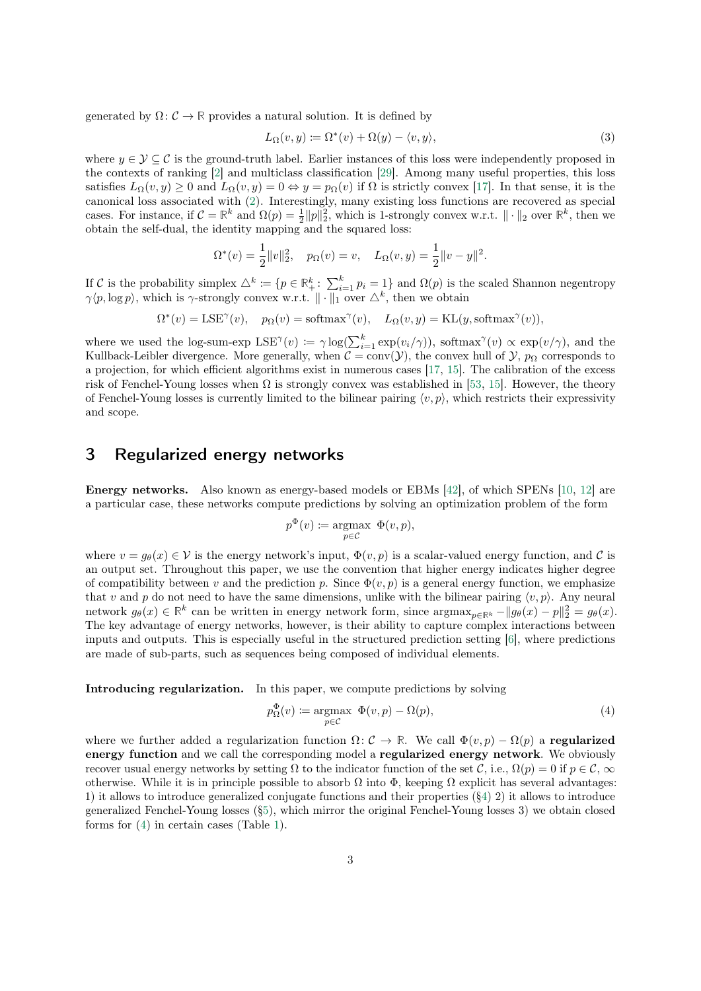<span id="page-2-0"></span>generated by  $\Omega: \mathcal{C} \to \mathbb{R}$  provides a natural solution. It is defined by

$$
L_{\Omega}(v, y) := \Omega^*(v) + \Omega(y) - \langle v, y \rangle,
$$
\n(3)

where  $y \in \mathcal{Y} \subseteq \mathcal{C}$  is the ground-truth label. Earlier instances of this loss were independently proposed in the contexts of ranking [\[2\]](#page-11-0) and multiclass classification [\[29\]](#page-12-0). Among many useful properties, this loss satisfies  $L_{\Omega}(v, y) \geq 0$  and  $L_{\Omega}(v, y) = 0 \Leftrightarrow y = p_{\Omega}(v)$  if  $\Omega$  is strictly convex [\[17\]](#page-11-0). In that sense, it is the canonical loss associated with [\(2\)](#page-1-0). Interestingly, many existing loss functions are recovered as special cases. For instance, if  $C = \mathbb{R}^k$  and  $\Omega(p) = \frac{1}{2} ||p||_2^2$ , which is 1-strongly convex w.r.t.  $|| \cdot ||_2$  over  $\mathbb{R}^k$ , then we obtain the self-dual, the identity mapping and the squared loss:

$$
\Omega^*(v) = \frac{1}{2} ||v||_2^2, \quad p_{\Omega}(v) = v, \quad L_{\Omega}(v, y) = \frac{1}{2} ||v - y||^2.
$$

If C is the probability simplex  $\triangle^k := \{p \in \mathbb{R}^k_+ : \sum_{i=1}^k p_i = 1\}$  and  $\Omega(p)$  is the scaled Shannon negentropy  $\gamma(p, \log p)$ , which is  $\gamma$ -strongly convex w.r.t.  $\|\cdot\|_1$  over  $\triangle^k$ , then we obtain

$$
\Omega^*(v) = \text{LSE}^{\gamma}(v), \quad p_{\Omega}(v) = \text{softmax}^{\gamma}(v), \quad L_{\Omega}(v, y) = \text{KL}(y, \text{softmax}^{\gamma}(v)),
$$

where we used the log-sum-exp  $LSE^{\gamma}(v) := \gamma \log(\sum_{i=1}^{k} \exp(v_i/\gamma))$ , softmax $\gamma'(v) \propto \exp(v/\gamma)$ , and the Kullback-Leibler divergence. More generally, when  $C = conv(\mathcal{Y})$ , the convex hull of  $\mathcal{Y}, p_{\Omega}$  corresponds to a projection, for which efficient algorithms exist in numerous cases [\[17,](#page-11-0) [15\]](#page-11-0). The calibration of the excess risk of Fenchel-Young losses when  $\Omega$  is strongly convex was established in [\[53,](#page-13-0) [15\]](#page-11-0). However, the theory of Fenchel-Young losses is currently limited to the bilinear pairing  $\langle v, p \rangle$ , which restricts their expressivity and scope.

#### 3 Regularized energy networks

Energy networks. Also known as energy-based models or EBMs [\[42\]](#page-13-0), of which SPENs [\[10,](#page-11-0) [12\]](#page-11-0) are a particular case, these networks compute predictions by solving an optimization problem of the form

$$
p^{\Phi}(v) \coloneqq \underset{p \in \mathcal{C}}{\operatorname{argmax}} \ \Phi(v, p),
$$

where  $v = q_{\theta}(x) \in V$  is the energy network's input,  $\Phi(v, p)$  is a scalar-valued energy function, and C is an output set. Throughout this paper, we use the convention that higher energy indicates higher degree of compatibility between v and the prediction p. Since  $\Phi(v, p)$  is a general energy function, we emphasize that v and p do not need to have the same dimensions, unlike with the bilinear pairing  $\langle v, p \rangle$ . Any neural network  $g_{\theta}(x) \in \mathbb{R}^k$  can be written in energy network form, since  $\arg \max_{p \in \mathbb{R}^k} -||g_{\theta}(x) - p||_2^2 = g_{\theta}(x)$ . The key advantage of energy networks, however, is their ability to capture complex interactions between inputs and outputs. This is especially useful in the structured prediction setting [\[6\]](#page-11-0), where predictions are made of sub-parts, such as sequences being composed of individual elements.

Introducing regularization. In this paper, we compute predictions by solving

$$
p_{\Omega}^{\Phi}(v) \coloneqq \underset{p \in \mathcal{C}}{\operatorname{argmax}} \ \Phi(v, p) - \Omega(p), \tag{4}
$$

where we further added a regularization function  $\Omega: \mathcal{C} \to \mathbb{R}$ . We call  $\Phi(v, p) - \Omega(p)$  a **regularized** energy function and we call the corresponding model a regularized energy network. We obviously recover usual energy networks by setting  $\Omega$  to the indicator function of the set C, i.e.,  $\Omega(p) = 0$  if  $p \in \mathcal{C}$ ,  $\infty$ otherwise. While it is in principle possible to absorb  $\Omega$  into  $\Phi$ , keeping  $\Omega$  explicit has several advantages: 1) it allows to introduce generalized conjugate functions and their properties ([§4\)](#page-4-0) 2) it allows to introduce generalized Fenchel-Young losses ([§5\)](#page-6-0), which mirror the original Fenchel-Young losses 3) we obtain closed forms for (4) in certain cases (Table [1\)](#page-4-0).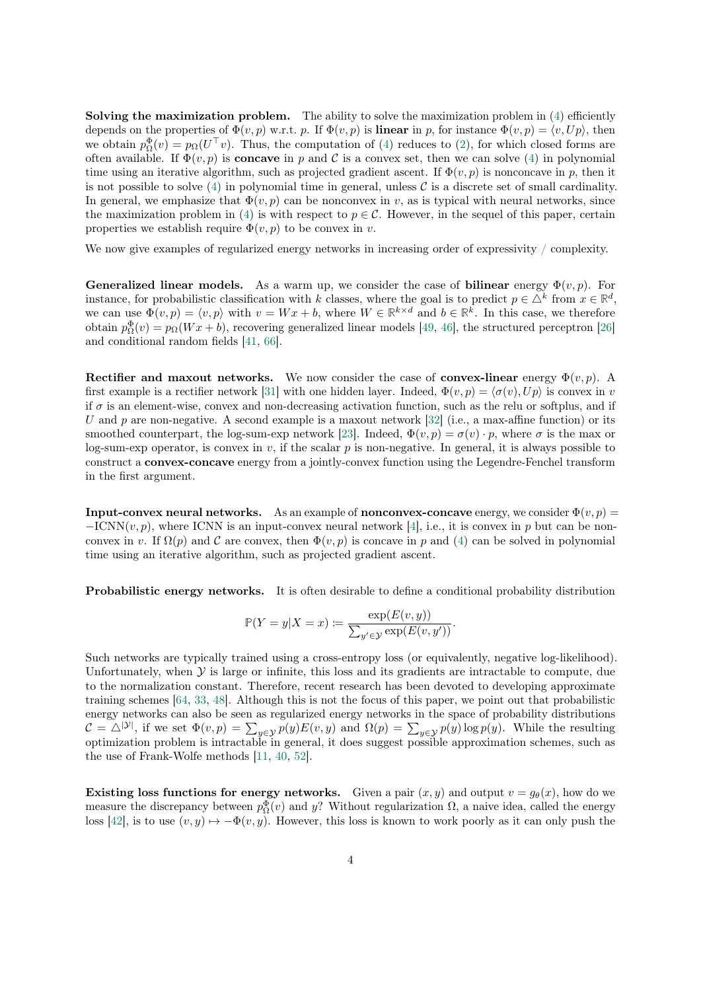Solving the maximization problem. The ability to solve the maximization problem in  $(4)$  efficiently depends on the properties of  $\Phi(v, p)$  w.r.t. p. If  $\Phi(v, p)$  is **linear** in p, for instance  $\Phi(v, p) = \langle v, Up \rangle$ , then we obtain  $p_{\Omega}^{\Phi}(v) = p_{\Omega}(U^{\top}v)$ . Thus, the computation of [\(4\)](#page-2-0) reduces to [\(2\)](#page-1-0), for which closed forms are often available. If  $\Phi(v, p)$  is **concave** in p and C is a convex set, then we can solve [\(4\)](#page-2-0) in polynomial time using an iterative algorithm, such as projected gradient ascent. If  $\Phi(v, p)$  is nonconcave in p, then it is not possible to solve  $(4)$  in polynomial time in general, unless C is a discrete set of small cardinality. In general, we emphasize that  $\Phi(v, p)$  can be nonconvex in v, as is typical with neural networks, since the maximization problem in [\(4\)](#page-2-0) is with respect to  $p \in \mathcal{C}$ . However, in the sequel of this paper, certain properties we establish require  $\Phi(v, p)$  to be convex in v.

We now give examples of regularized energy networks in increasing order of expressivity / complexity.

**Generalized linear models.** As a warm up, we consider the case of **bilinear** energy  $\Phi(v, p)$ . For instance, for probabilistic classification with k classes, where the goal is to predict  $p \in \Delta^k$  from  $x \in \mathbb{R}^d$ , we can use  $\Phi(v, p) = \langle v, p \rangle$  with  $v = Wx + b$ , where  $W \in \mathbb{R}^{k \times d}$  and  $b \in \mathbb{R}^k$ . In this case, we therefore obtain  $p_{\Omega}^{\Phi}(v) = p_{\Omega}(Wx + b)$ , recovering generalized linear models [\[49,](#page-13-0) [46\]](#page-13-0), the structured perceptron [\[26\]](#page-12-0) and conditional random fields [\[41,](#page-13-0) [66\]](#page-14-0).

Rectifier and maxout networks. We now consider the case of convex-linear energy  $\Phi(v, p)$ . A first example is a rectifier network [\[31\]](#page-12-0) with one hidden layer. Indeed,  $\Phi(v, p) = \langle \sigma(v), Up \rangle$  is convex in v if  $\sigma$  is an element-wise, convex and non-decreasing activation function, such as the relu or softplus, and if U and p are non-negative. A second example is a maxout network [\[32\]](#page-12-0) (i.e., a max-affine function) or its smoothed counterpart, the log-sum-exp network [\[23\]](#page-12-0). Indeed,  $\Phi(v, p) = \sigma(v) \cdot p$ , where  $\sigma$  is the max or log-sum-exp operator, is convex in  $v$ , if the scalar  $p$  is non-negative. In general, it is always possible to construct a convex-concave energy from a jointly-convex function using the Legendre-Fenchel transform in the first argument.

**Input-convex neural networks.** As an example of **nonconvex-concave** energy, we consider  $\Phi(v, p)$  =  $-ICNN(v, p)$ , where ICNN is an input-convex neural network [\[4\]](#page-11-0), i.e., it is convex in p but can be nonconvex in v. If  $\Omega(p)$  and C are convex, then  $\Phi(v, p)$  is concave in p and [\(4\)](#page-2-0) can be solved in polynomial time using an iterative algorithm, such as projected gradient ascent.

Probabilistic energy networks. It is often desirable to define a conditional probability distribution

$$
\mathbb{P}(Y = y | X = x) := \frac{\exp(E(v, y))}{\sum_{y' \in \mathcal{Y}} \exp(E(v, y'))}.
$$

Such networks are typically trained using a cross-entropy loss (or equivalently, negative log-likelihood). Unfortunately, when  $\mathcal Y$  is large or infinite, this loss and its gradients are intractable to compute, due to the normalization constant. Therefore, recent research has been devoted to developing approximate training schemes [\[64,](#page-14-0) [33,](#page-12-0) [48\]](#page-13-0). Although this is not the focus of this paper, we point out that probabilistic energy networks can also be seen as regularized energy networks in the space of probability distributions  $C = \triangle^{|\mathcal{Y}|}$ , if we set  $\Phi(v, p) = \sum_{y \in \mathcal{Y}} p(y) E(v, y)$  and  $\Omega(p) = \sum_{y \in \mathcal{Y}} p(y) \log p(y)$ . While the resulting optimization problem is intractable in general, it does suggest possible approximation schemes, such as the use of Frank-Wolfe methods [\[11,](#page-11-0) [40,](#page-13-0) [52\]](#page-13-0).

Existing loss functions for energy networks. Given a pair  $(x, y)$  and output  $v = g_{\theta}(x)$ , how do we measure the discrepancy between  $p_{\Omega}^{\Phi}(v)$  and y? Without regularization  $\Omega$ , a naive idea, called the energy loss [\[42\]](#page-13-0), is to use  $(v, y) \mapsto -\Phi(v, y)$ . However, this loss is known to work poorly as it can only push the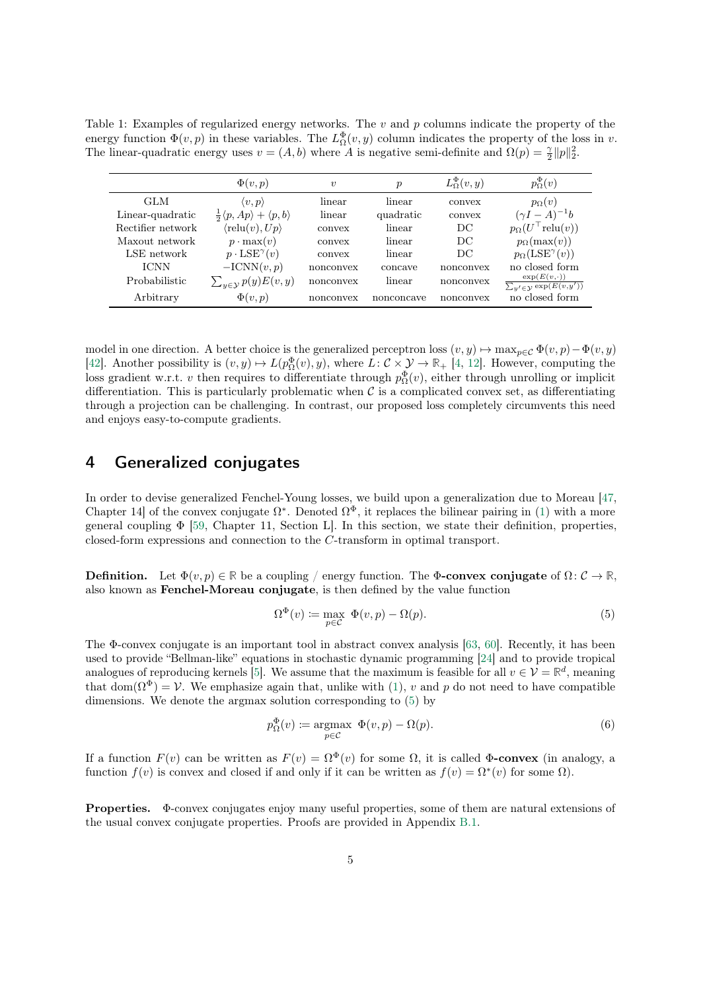<span id="page-4-0"></span>Table 1: Examples of regularized energy networks. The  $v$  and  $p$  columns indicate the property of the energy function  $\Phi(v, p)$  in these variables. The  $L^{\Phi}_{\Omega}(v, y)$  column indicates the property of the loss in v. The linear-quadratic energy uses  $v = (A, b)$  where A is negative semi-definite and  $\Omega(p) = \frac{\gamma}{2} ||p||_2^2$ .

|                   | $\Phi(v,p)$                                               | $\boldsymbol{v}$ | р          | $L^{\Phi}_{\Omega}(v,y)$ | $p_{\Omega}^{\Phi}(v)$                                           |
|-------------------|-----------------------------------------------------------|------------------|------------|--------------------------|------------------------------------------------------------------|
| GLM               | $\langle v, p \rangle$                                    | linear           | linear     | convex                   | $p_{\Omega}(v)$                                                  |
| Linear-quadratic  | $\frac{1}{2}\langle p, Ap \rangle + \langle p, b \rangle$ | linear           | quadratic  | convex                   | $(\gamma I - A)^{-1}b$                                           |
| Rectifier network | $\langle \text{relu}(v), Up \rangle$                      | convex           | linear     | DC                       | $p_{\Omega}(U^{\top}\text{relu}(v))$                             |
| Maxout network    | $p \cdot \max(v)$                                         | convex           | linear     | DC                       | $p_{\Omega}(\max(v))$                                            |
| LSE network       | $p \cdot \text{LSE}^{\gamma}(v)$                          | convex           | linear     | DC                       | $p_{\Omega}(\text{LSE}^{\gamma}(v))$                             |
| <b>ICNN</b>       | $-ICNN(v, p)$                                             | nonconvex        | concave    | nonconvex                | no closed form                                                   |
| Probabilistic     | $\sum_{y\in\mathcal{Y}} p(y) E(v, y)$                     | nonconvex        | linear     | nonconvex                | $\exp(E(v,\cdot))$<br>$\sum_{y' \in \mathcal{Y}} \exp(E(v, y'))$ |
| Arbitrary         | $\Phi(v,p)$                                               | nonconvex        | nonconcave | nonconvex                | no closed form                                                   |

model in one direction. A better choice is the generalized perceptron loss  $(v, y) \mapsto \max_{p \in C} \Phi(v, p) - \Phi(v, y)$ [\[42\]](#page-13-0). Another possibility is  $(v, y) \mapsto L(p_{\Omega}^{\Phi}(v), y)$ , where  $L: \mathcal{C} \times \mathcal{Y} \to \mathbb{R}_{+}$  [\[4,](#page-11-0) [12\]](#page-11-0). However, computing the loss gradient w.r.t. v then requires to differentiate through  $p_{\Omega}^{\Phi}(v)$ , either through unrolling or implicit differentiation. This is particularly problematic when  $\mathcal C$  is a complicated convex set, as differentiating through a projection can be challenging. In contrast, our proposed loss completely circumvents this need and enjoys easy-to-compute gradients.

### 4 Generalized conjugates

In order to devise generalized Fenchel-Young losses, we build upon a generalization due to Moreau [\[47,](#page-13-0) Chapter 14 of the convex conjugate  $\Omega^*$ . Denoted  $\Omega^{\Phi}$ , it replaces the bilinear pairing in [\(1\)](#page-1-0) with a more general coupling  $\Phi$  [\[59,](#page-14-0) Chapter 11, Section L]. In this section, we state their definition, properties, closed-form expressions and connection to the C-transform in optimal transport.

**Definition.** Let  $\Phi(v, p) \in \mathbb{R}$  be a coupling / energy function. The  $\Phi$ -convex conjugate of  $\Omega: \mathcal{C} \to \mathbb{R}$ , also known as Fenchel-Moreau conjugate, is then defined by the value function

$$
\Omega^{\Phi}(v) := \max_{p \in \mathcal{C}} \ \Phi(v, p) - \Omega(p). \tag{5}
$$

The Φ-convex conjugate is an important tool in abstract convex analysis [\[63,](#page-14-0) [60\]](#page-14-0). Recently, it has been used to provide "Bellman-like" equations in stochastic dynamic programming [\[24\]](#page-12-0) and to provide tropical analogues of reproducing kernels [\[5\]](#page-11-0). We assume that the maximum is feasible for all  $v \in \mathcal{V} = \mathbb{R}^d$ , meaning that dom( $\Omega^{\Phi}$ ) = V. We emphasize again that, unlike with [\(1\)](#page-1-0), v and p do not need to have compatible dimensions. We denote the argmax solution corresponding to (5) by

$$
p_{\Omega}^{\Phi}(v) \coloneqq \underset{p \in \mathcal{C}}{\operatorname{argmax}} \ \Phi(v, p) - \Omega(p). \tag{6}
$$

If a function  $F(v)$  can be written as  $F(v) = \Omega^{\Phi}(v)$  for some  $\Omega$ , it is called  $\Phi$ -convex (in analogy, a function  $f(v)$  is convex and closed if and only if it can be written as  $f(v) = \Omega^*(v)$  for some  $\Omega$ ).

Properties. Φ-convex conjugates enjoy many useful properties, some of them are natural extensions of the usual convex conjugate properties. Proofs are provided in Appendix [B.1.](#page-16-0)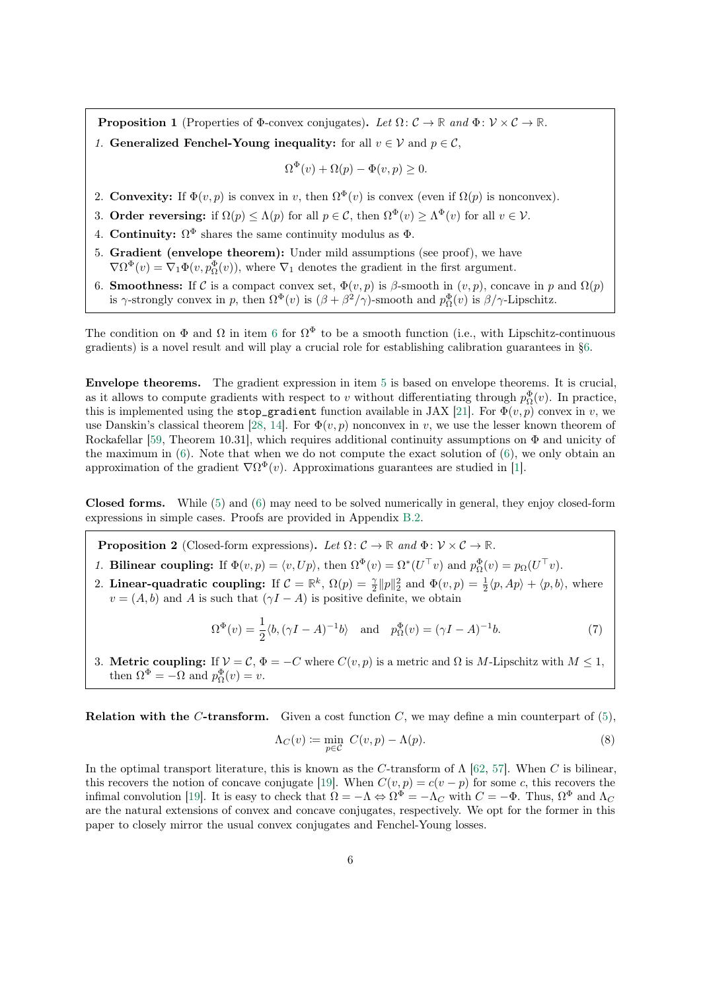<span id="page-5-0"></span>**Proposition 1** (Properties of Φ-convex conjugates). Let  $\Omega: \mathcal{C} \to \mathbb{R}$  and  $\Phi: \mathcal{V} \times \mathcal{C} \to \mathbb{R}$ . 1. Generalized Fenchel-Young inequality: for all  $v \in V$  and  $p \in \mathcal{C}$ ,

$$
\Omega^{\Phi}(v) + \Omega(p) - \Phi(v, p) \ge 0.
$$

- 2. Convexity: If  $\Phi(v, p)$  is convex in v, then  $\Omega^{\Phi}(v)$  is convex (even if  $\Omega(p)$  is nonconvex).
- 3. Order reversing: if  $\Omega(p) \leq \Lambda(p)$  for all  $p \in \mathcal{C}$ , then  $\Omega^{\Phi}(v) \geq \Lambda^{\Phi}(v)$  for all  $v \in \mathcal{V}$ .
- 4. Continuity:  $\Omega^{\Phi}$  shares the same continuity modulus as  $\Phi$ .
- 5. Gradient (envelope theorem): Under mild assumptions (see proof), we have  $\nabla \Omega^{\Phi}(v) = \nabla_1 \Phi(v, p_{\Omega}^{\Phi}(v))$ , where  $\nabla_1$  denotes the gradient in the first argument.
- 6. **Smoothness:** If C is a compact convex set,  $\Phi(v, p)$  is  $\beta$ -smooth in  $(v, p)$ , concave in p and  $\Omega(p)$ is  $\gamma$ -strongly convex in p, then  $\Omega^{\Phi}(v)$  is  $(\beta + \beta^2/\gamma)$ -smooth and  $p_{\Omega}^{\Phi}(v)$  is  $\beta/\gamma$ -Lipschitz.

The condition on  $\Phi$  and  $\Omega$  in item 6 for  $\Omega^{\Phi}$  to be a smooth function (i.e., with Lipschitz-continuous gradients) is a novel result and will play a crucial role for establishing calibration guarantees in [§6.](#page-7-0)

Envelope theorems. The gradient expression in item 5 is based on envelope theorems. It is crucial, as it allows to compute gradients with respect to v without differentiating through  $p_{\Omega}^{\Phi}(v)$ . In practice, this is implemented using the stop\_gradient function available in JAX [\[21\]](#page-12-0). For  $\Phi(v, p)$  convex in v, we use Danskin's classical theorem [\[28,](#page-12-0) [14\]](#page-11-0). For  $\Phi(v, p)$  nonconvex in v, we use the lesser known theorem of Rockafellar [\[59,](#page-14-0) Theorem 10.31], which requires additional continuity assumptions on Φ and unicity of the maximum in  $(6)$ . Note that when we do not compute the exact solution of  $(6)$ , we only obtain an approximation of the gradient  $\nabla \Omega^{\Phi}(v)$ . Approximations guarantees are studied in [\[1\]](#page-11-0).

Closed forms. While [\(5\)](#page-4-0) and [\(6\)](#page-4-0) may need to be solved numerically in general, they enjoy closed-form expressions in simple cases. Proofs are provided in Appendix [B.2.](#page-17-0)

**Proposition 2** (Closed-form expressions). Let  $\Omega: \mathcal{C} \to \mathbb{R}$  and  $\Phi: \mathcal{V} \times \mathcal{C} \to \mathbb{R}$ .

- 1. Bilinear coupling: If  $\Phi(v, p) = \langle v, Up \rangle$ , then  $\Omega^{\Phi}(v) = \Omega^*(U^{\top}v)$  and  $p_{\Omega}^{\Phi}(v) = p_{\Omega}(U^{\top}v)$ .
- 2. Linear-quadratic coupling: If  $\mathcal{C} = \mathbb{R}^k$ ,  $\Omega(p) = \frac{\gamma}{2} ||p||_2^2$  and  $\Phi(v, p) = \frac{1}{2} \langle p, Ap \rangle + \langle p, b \rangle$ , where  $v = (A, b)$  and A is such that  $(\gamma I - A)$  is positive definite, we obtain

$$
\Omega^{\Phi}(v) = \frac{1}{2} \langle b, (\gamma I - A)^{-1} b \rangle \quad \text{and} \quad p_{\Omega}^{\Phi}(v) = (\gamma I - A)^{-1} b. \tag{7}
$$

3. Metric coupling: If  $V = C$ ,  $\Phi = -C$  where  $C(v, p)$  is a metric and  $\Omega$  is M-Lipschitz with  $M \leq 1$ , then  $\Omega^{\Phi} = -\Omega$  and  $p_{\Omega}^{\Phi}(v) = v$ .

**Relation with the C-transform.** Given a cost function C, we may define a min counterpart of  $(5)$ ,

$$
\Lambda_C(v) := \min_{p \in C} C(v, p) - \Lambda(p). \tag{8}
$$

In the optimal transport literature, this is known as the C-transform of  $\Lambda$  [\[62,](#page-14-0) [57\]](#page-14-0). When C is bilinear, this recovers the notion of concave conjugate [\[19\]](#page-12-0). When  $C(v, p) = c(v - p)$  for some c, this recovers the infimal convolution [\[19\]](#page-12-0). It is easy to check that  $\Omega = -\Lambda \Leftrightarrow \Omega^{\Phi} = -\Lambda_C$  with  $C = -\Phi$ . Thus,  $\Omega^{\Phi}$  and  $\Lambda_C$ are the natural extensions of convex and concave conjugates, respectively. We opt for the former in this paper to closely mirror the usual convex conjugates and Fenchel-Young losses.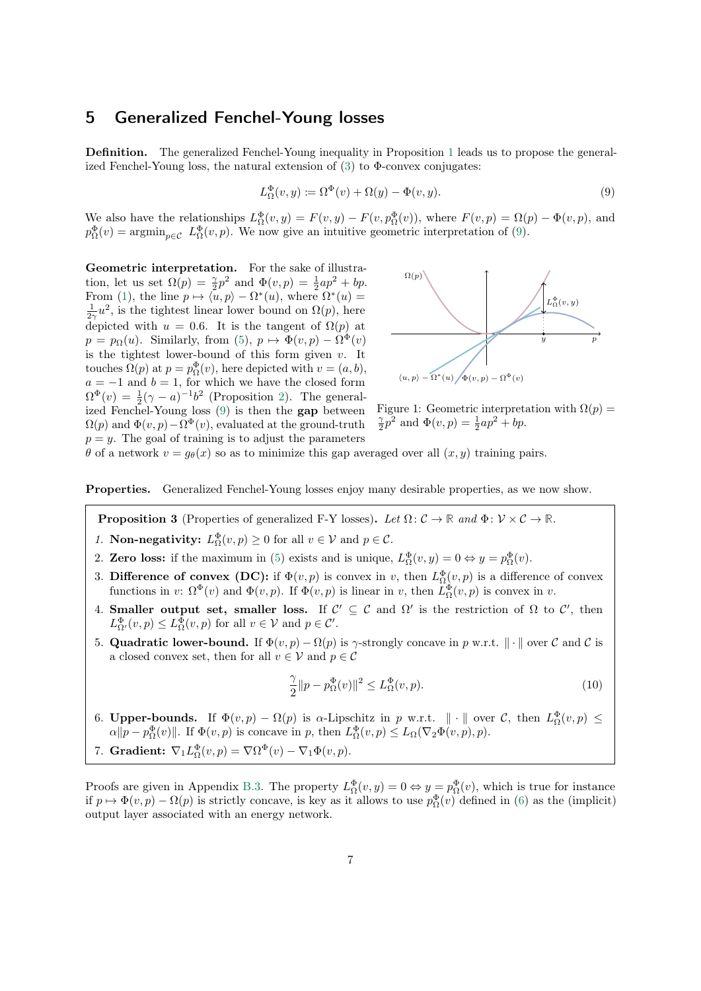#### <span id="page-6-0"></span>5 Generalized Fenchel-Young losses

Definition. The generalized Fenchel-Young inequality in Proposition [1](#page-5-0) leads us to propose the generalized Fenchel-Young loss, the natural extension of  $(3)$  to  $\Phi$ -convex conjugates:

$$
L_{\Omega}^{\Phi}(v, y) \coloneqq \Omega^{\Phi}(v) + \Omega(y) - \Phi(v, y). \tag{9}
$$

We also have the relationships  $L^{\Phi}_{\Omega}(v, y) = F(v, y) - F(v, p^{\Phi}_{\Omega}(v))$ , where  $F(v, p) = \Omega(p) - \Phi(v, p)$ , and  $p_{\Omega}^{\Phi}(v) = \operatorname{argmin}_{p \in \mathcal{C}} L_{\Omega}^{\Phi}(v, p)$ . We now give an intuitive geometric interpretation of (9).

Geometric interpretation. For the sake of illustration, let us set  $\Omega(p) = \frac{\gamma}{2}p^2$  and  $\Phi(v, p) = \frac{1}{2}ap^2 + bp$ . From [\(1\)](#page-1-0), the line  $p \mapsto \langle u, p \rangle - \Omega^*(u)$ , where  $\Omega^*(u) =$  $\frac{1}{2\gamma}u^2$ , is the tightest linear lower bound on  $\Omega(p)$ , here depicted with  $u = 0.6$ . It is the tangent of  $\Omega(p)$  at  $p = p_{\Omega}(u)$ . Similarly, from [\(5\)](#page-4-0),  $p \mapsto \Phi(v, p) - \Omega^{\Phi}(v)$ is the tightest lower-bound of this form given  $v$ . It touches  $\Omega(p)$  at  $p = p_{\Omega}^{\Phi}(v)$ , here depicted with  $v = (a, b)$ ,  $a = -1$  and  $b = 1$ , for which we have the closed form  $\Omega^{\Phi}(v) = \frac{1}{2}(\gamma - a)^{-1}b^2$  (Proposition [2\)](#page-5-0). The generalized Fenchel-Young loss (9) is then the gap between  $\Omega(p)$  and  $\Phi(v, p) - \Omega^{\Phi}(v)$ , evaluated at the ground-truth  $p = y$ . The goal of training is to adjust the parameters



Figure 1: Geometric interpretation with  $\Omega(p)$  =  $\frac{\gamma}{2}p^2$  and  $\Phi(v, p) = \frac{1}{2}ap^2 + bp$ .

 $θ$  of a network  $v = q<sub>θ</sub>(x)$  so as to minimize this gap averaged over all  $(x, y)$  training pairs.

#### Properties. Generalized Fenchel-Young losses enjoy many desirable properties, as we now show.

**Proposition 3** (Properties of generalized F-Y losses). Let  $\Omega: \mathcal{C} \to \mathbb{R}$  and  $\Phi: \mathcal{V} \times \mathcal{C} \to \mathbb{R}$ .

- 1. **Non-negativity:**  $L^{\Phi}_{\Omega}(v, p) \ge 0$  for all  $v \in \mathcal{V}$  and  $p \in \mathcal{C}$ .
- 2. Zero loss: if the maximum in [\(5\)](#page-4-0) exists and is unique,  $L^{\Phi}_{\Omega}(v, y) = 0 \Leftrightarrow y = p^{\Phi}_{\Omega}(v)$ .
- 3. Difference of convex (DC): if  $\Phi(v, p)$  is convex in v, then  $L^{\Phi}_{\Omega}(v, p)$  is a difference of convex functions in v:  $\Omega^{\Phi}(v)$  and  $\Phi(v, p)$ . If  $\Phi(v, p)$  is linear in v, then  $L^{\Phi}_{\Omega}(v, p)$  is convex in v.
- 4. Smaller output set, smaller loss. If  $\mathcal{C}' \subseteq \mathcal{C}$  and  $\Omega'$  is the restriction of  $\Omega$  to  $\mathcal{C}'$ , then  $L^{\Phi}_{\Omega'}(v,p) \leq L^{\Phi}_{\Omega}(v,p)$  for all  $v \in \mathcal{V}$  and  $p \in \mathcal{C}'$ .
- 5. Quadratic lower-bound. If  $\Phi(v, p) \Omega(p)$  is  $\gamma$ -strongly concave in p w.r.t.  $\|\cdot\|$  over C and C is a closed convex set, then for all  $v \in V$  and  $p \in \mathcal{C}$

$$
\frac{\gamma}{2}||p - p_{\Omega}^{\Phi}(v)||^2 \le L_{\Omega}^{\Phi}(v, p). \tag{10}
$$

6. Upper-bounds. If  $\Phi(v,p) - \Omega(p)$  is  $\alpha$ -Lipschitz in p w.r.t.  $\|\cdot\|$  over C, then  $L^{\Phi}_{\Omega}(v,p) \leq$  $\alpha \|p - p_{\Omega}^{\Phi}(v)\|$ . If  $\Phi(v, p)$  is concave in p, then  $L_{\Omega}^{\Phi}(v, p) \le L_{\Omega}(\nabla_2 \Phi(v, p), p)$ .

7. Gradient: 
$$
\nabla_1 L_{\Omega}^{\Phi}(v, p) = \nabla \Omega^{\Phi}(v) - \nabla_1 \Phi(v, p)
$$
.

Proofs are given in Appendix [B.3.](#page-18-0) The property  $L^{\Phi}_{\Omega}(v, y) = 0 \Leftrightarrow y = p^{\Phi}_{\Omega}(v)$ , which is true for instance if  $p \mapsto \Phi(v, p) - \Omega(p)$  is strictly concave, is key as it allows to use  $p_{\Omega}^{\Phi}(v)$  defined in [\(6\)](#page-4-0) as the (implicit) output layer associated with an energy network.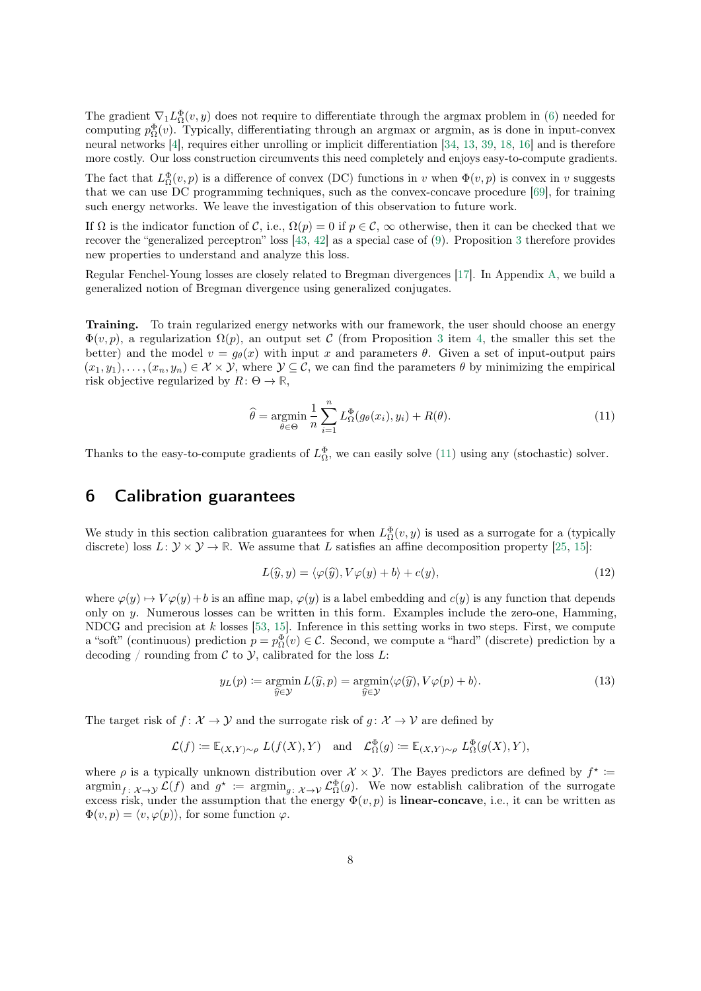<span id="page-7-0"></span>The gradient  $\nabla_1 L_{\Omega}^{\Phi}(v, y)$  does not require to differentiate through the argmax problem in [\(6\)](#page-4-0) needed for computing  $p_{\Omega}^{\Phi}(v)$ . Typically, differentiating through an argmax or argmin, as is done in input-convex neural networks [\[4\]](#page-11-0), requires either unrolling or implicit differentiation [\[34,](#page-12-0) [13,](#page-11-0) [39,](#page-13-0) [18,](#page-12-0) [16\]](#page-11-0) and is therefore more costly. Our loss construction circumvents this need completely and enjoys easy-to-compute gradients.

The fact that  $L^{\Phi}_{\Omega}(v,p)$  is a difference of convex (DC) functions in v when  $\Phi(v,p)$  is convex in v suggests that we can use DC programming techniques, such as the convex-concave procedure [\[69\]](#page-14-0), for training such energy networks. We leave the investigation of this observation to future work.

If  $\Omega$  is the indicator function of C, i.e.,  $\Omega(p) = 0$  if  $p \in \mathcal{C}$ ,  $\infty$  otherwise, then it can be checked that we recover the "generalized perceptron" loss [\[43,](#page-13-0) [42\]](#page-13-0) as a special case of [\(9\)](#page-6-0). Proposition [3](#page-6-0) therefore provides new properties to understand and analyze this loss.

Regular Fenchel-Young losses are closely related to Bregman divergences [\[17\]](#page-11-0). In Appendix [A,](#page-15-0) we build a generalized notion of Bregman divergence using generalized conjugates.

Training. To train regularized energy networks with our framework, the user should choose an energy  $\Phi(v, p)$ , a regularization  $\Omega(p)$ , an output set C (from Proposition [3](#page-6-0) item [4,](#page-6-0) the smaller this set the better) and the model  $v = q_{\theta}(x)$  with input x and parameters  $\theta$ . Given a set of input-output pairs  $(x_1, y_1), \ldots, (x_n, y_n) \in \mathcal{X} \times \mathcal{Y}$ , where  $\mathcal{Y} \subseteq \mathcal{C}$ , we can find the parameters  $\theta$  by minimizing the empirical risk objective regularized by  $R: \Theta \to \mathbb{R}$ ,

$$
\widehat{\theta} = \underset{\theta \in \Theta}{\operatorname{argmin}} \frac{1}{n} \sum_{i=1}^{n} L_{\Omega}^{\Phi}(g_{\theta}(x_i), y_i) + R(\theta). \tag{11}
$$

Thanks to the easy-to-compute gradients of  $L^{\Phi}_{\Omega}$ , we can easily solve (11) using any (stochastic) solver.

### 6 Calibration guarantees

We study in this section calibration guarantees for when  $L^{\Phi}_{\Omega}(v, y)$  is used as a surrogate for a (typically discrete) loss  $L: \mathcal{Y} \times \mathcal{Y} \to \mathbb{R}$ . We assume that L satisfies an affine decomposition property [\[25,](#page-12-0) [15\]](#page-11-0):

$$
L(\widehat{y}, y) = \langle \varphi(\widehat{y}), V\varphi(y) + b \rangle + c(y), \tag{12}
$$

where  $\varphi(y) \mapsto V \varphi(y) + b$  is an affine map,  $\varphi(y)$  is a label embedding and  $c(y)$  is any function that depends only on y. Numerous losses can be written in this form. Examples include the zero-one, Hamming, NDCG and precision at  $k$  losses [\[53,](#page-13-0) [15\]](#page-11-0). Inference in this setting works in two steps. First, we compute a "soft" (continuous) prediction  $p = p_{\Omega}^{\Phi}(v) \in \mathcal{C}$ . Second, we compute a "hard" (discrete) prediction by a decoding / rounding from  $\mathcal C$  to  $\mathcal Y$ , calibrated for the loss  $L$ :

$$
y_L(p) := \underset{\widehat{y} \in \mathcal{Y}}{\operatorname{argmin}} L(\widehat{y}, p) = \underset{\widehat{y} \in \mathcal{Y}}{\operatorname{argmin}} \langle \varphi(\widehat{y}), V\varphi(p) + b \rangle.
$$
 (13)

The target risk of  $f: \mathcal{X} \to \mathcal{Y}$  and the surrogate risk of  $g: \mathcal{X} \to \mathcal{V}$  are defined by

$$
\mathcal{L}(f) \coloneqq \mathbb{E}_{(X,Y)\sim\rho} \ L(f(X),Y) \quad \text{and} \quad \mathcal{L}^{\Phi}_{\Omega}(g) \coloneqq \mathbb{E}_{(X,Y)\sim\rho} \ L^{\Phi}_{\Omega}(g(X),Y),
$$

where  $\rho$  is a typically unknown distribution over  $\mathcal{X} \times \mathcal{Y}$ . The Bayes predictors are defined by  $f^* \coloneqq$  $\operatorname{argmin}_{f: \mathcal{X} \to \mathcal{Y}} \mathcal{L}(f)$  and  $g^* := \operatorname{argmin}_{g: \mathcal{X} \to \mathcal{Y}} \mathcal{L}_{\Omega}^{\Phi}(g)$ . We now establish calibration of the surrogate excess risk, under the assumption that the energy  $\Phi(v, p)$  is **linear-concave**, i.e., it can be written as  $\Phi(v, p) = \langle v, \varphi(p) \rangle$ , for some function  $\varphi$ .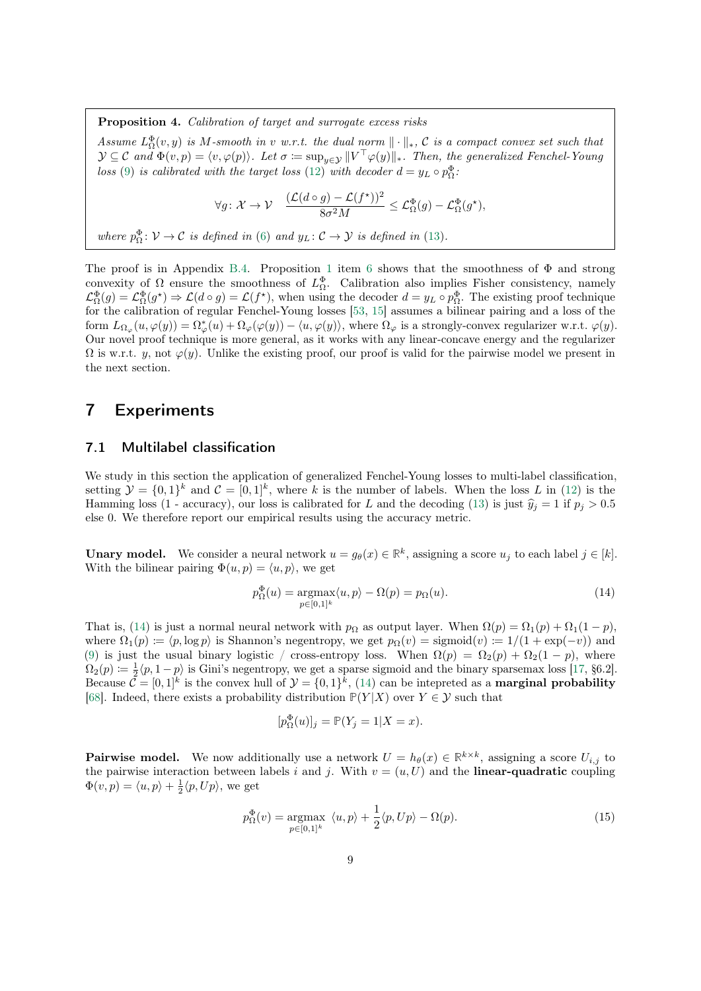<span id="page-8-0"></span>Proposition 4. Calibration of target and surrogate excess risks

Assume  $L_{\Omega}^{\Phi}(v, y)$  is M-smooth in v w.r.t. the dual norm  $\|\cdot\|_*$ , C is a compact convex set such that  $\mathcal{Y} \subseteq \mathcal{C}$  and  $\Phi(v,p) = \langle v, \varphi(p) \rangle$ . Let  $\sigma \coloneqq \sup_{y \in \mathcal{Y}} ||V^\top \varphi(y)||_*$ . Then, the generalized Fenchel-Young loss [\(9\)](#page-6-0) is calibrated with the target loss [\(12\)](#page-7-0) with decoder  $d = y_L \circ p_{\Omega}^{\Phi}$ .

$$
\forall g \colon \mathcal{X} \to \mathcal{V} \quad \frac{(\mathcal{L}(d \circ g) - \mathcal{L}(f^*))^2}{8\sigma^2 M} \leq \mathcal{L}_{\Omega}^{\Phi}(g) - \mathcal{L}_{\Omega}^{\Phi}(g^*),
$$

where  $p_{\Omega}^{\Phi} \colon \mathcal{V} \to \mathcal{C}$  is defined in [\(6\)](#page-4-0) and  $y_L \colon \mathcal{C} \to \mathcal{Y}$  is defined in [\(13\)](#page-7-0).

The proof is in Appendix [B.4.](#page-19-0) Proposition [1](#page-5-0) item [6](#page-5-0) shows that the smoothness of  $\Phi$  and strong convexity of  $\Omega$  ensure the smoothness of  $L^{\Phi}_{\Omega}$ . Calibration also implies Fisher consistency, namely  $\mathcal{L}_{\Omega}^{\Phi}(g) = \mathcal{L}_{\Omega}^{\Phi}(g^{\star}) \Rightarrow \mathcal{L}(d \circ g) = \mathcal{L}(f^{\star}),$  when using the decoder  $d = y_L \circ p_{\Omega}^{\Phi}.$  The existing proof technique for the calibration of regular Fenchel-Young losses [\[53,](#page-13-0) [15\]](#page-11-0) assumes a bilinear pairing and a loss of the form  $L_{\Omega_{\varphi}}(u, \varphi(y)) = \Omega_{\varphi}^*(u) + \Omega_{\varphi}(\varphi(y)) - \langle u, \varphi(y) \rangle$ , where  $\Omega_{\varphi}$  is a strongly-convex regularizer w.r.t.  $\varphi(y)$ . Our novel proof technique is more general, as it works with any linear-concave energy and the regularizer  $\Omega$  is w.r.t. y, not  $\varphi(y)$ . Unlike the existing proof, our proof is valid for the pairwise model we present in the next section.

#### 7 Experiments

#### 7.1 Multilabel classification

We study in this section the application of generalized Fenchel-Young losses to multi-label classification, setting  $\mathcal{Y} = \{0,1\}^k$  and  $\mathcal{C} = [0,1]^k$ , where k is the number of labels. When the loss L in [\(12\)](#page-7-0) is the Hamming loss (1 - accuracy), our loss is calibrated for L and the decoding [\(13\)](#page-7-0) is just  $\hat{y}_i = 1$  if  $p_i > 0.5$ else 0. We therefore report our empirical results using the accuracy metric.

**Unary model.** We consider a neural network  $u = g_{\theta}(x) \in \mathbb{R}^k$ , assigning a score  $u_j$  to each label  $j \in [k]$ . With the bilinear pairing  $\Phi(u, p) = \langle u, p \rangle$ , we get

$$
p_{\Omega}^{\Phi}(u) = \underset{p \in [0,1]^k}{\operatorname{argmax}} \langle u, p \rangle - \Omega(p) = p_{\Omega}(u). \tag{14}
$$

That is, (14) is just a normal neural network with  $p_{\Omega}$  as output layer. When  $\Omega(p) = \Omega_1(p) + \Omega_1(1-p)$ , where  $\Omega_1(p) \coloneqq \langle p, \log p \rangle$  is Shannon's negentropy, we get  $p_\Omega(v) = \text{sigmoid}(v) \coloneqq 1/(1 + \exp(-v))$  and [\(9\)](#page-6-0) is just the usual binary logistic / cross-entropy loss. When  $\Omega(p) = \Omega_2(p) + \Omega_2(1-p)$ , where  $\Omega_2(p) \coloneqq \frac{1}{2} \langle p, 1-p \rangle$  is Gini's negentropy, we get a sparse sigmoid and the binary sparsemax loss [\[17,](#page-11-0) §6.2]. Because  $\mathcal{C} = [0,1]^k$  is the convex hull of  $\mathcal{Y} = \{0,1\}^k$ ,  $(14)$  can be intepreted as a **marginal probability** [\[68\]](#page-14-0). Indeed, there exists a probability distribution  $P(Y|X)$  over  $Y \in \mathcal{Y}$  such that

$$
[p^{\Phi}_{\Omega}(u)]_{j} = \mathbb{P}(Y_{j} = 1 | X = x).
$$

**Pairwise model.** We now additionally use a network  $U = h_{\theta}(x) \in \mathbb{R}^{k \times k}$ , assigning a score  $U_{i,j}$  to the pairwise interaction between labels i and j. With  $v = (u, U)$  and the **linear-quadratic** coupling  $\Phi(v, p) = \langle u, p \rangle + \frac{1}{2} \langle p, U p \rangle$ , we get

$$
p_{\Omega}^{\Phi}(v) = \underset{p \in [0,1]^k}{\text{argmax}} \ \langle u, p \rangle + \frac{1}{2} \langle p, Up \rangle - \Omega(p). \tag{15}
$$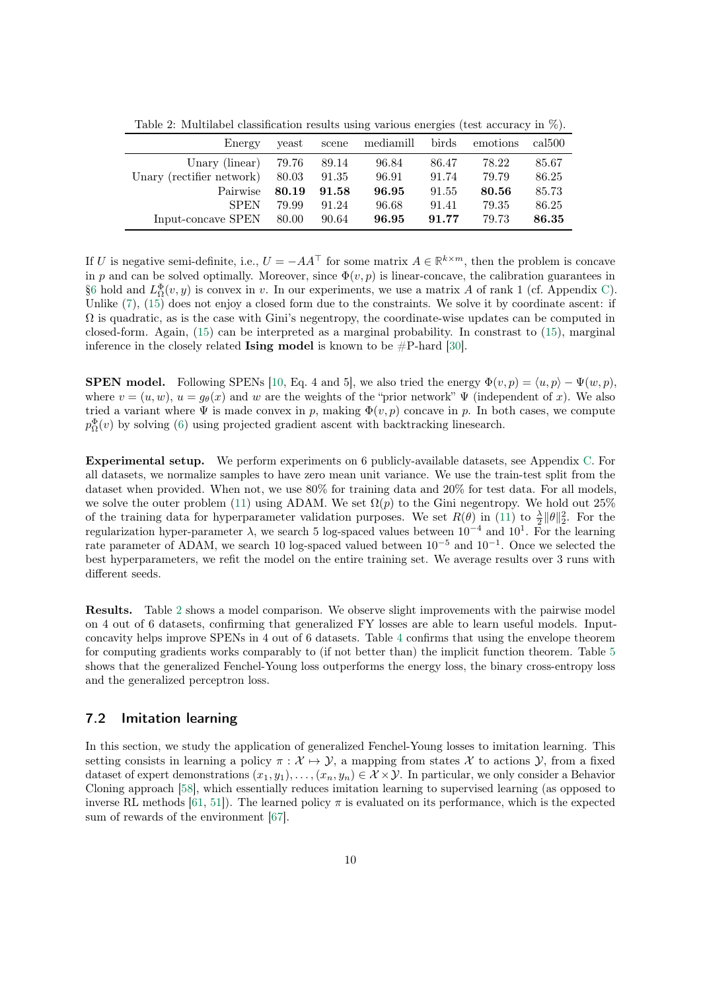Table 2: Multilabel classification results using various energies (test accuracy in %).

| Energy                    | yeast | scene | mediamill | birds | emotions | cal <sub>500</sub> |
|---------------------------|-------|-------|-----------|-------|----------|--------------------|
| Unary (linear)            | 79.76 | 89.14 | 96.84     | 86.47 | 78.22    | 85.67              |
| Unary (rectifier network) | 80.03 | 91.35 | 96.91     | 91.74 | 79.79    | 86.25              |
| Pairwise                  | 80.19 | 91.58 | 96.95     | 91.55 | 80.56    | 85.73              |
| <b>SPEN</b>               | 79.99 | 91.24 | 96.68     | 91.41 | 79.35    | 86.25              |
| Input-concave SPEN        | 80.00 | 90.64 | 96.95     | 91.77 | 79.73    | 86.35              |

If U is negative semi-definite, i.e.,  $U = -AA^{\top}$  for some matrix  $A \in \mathbb{R}^{k \times m}$ , then the problem is concave in p and can be solved optimally. Moreover, since  $\Phi(v, p)$  is linear-concave, the calibration guarantees in [§6](#page-7-0) hold and  $L_{\Omega}^{\Phi}(v, y)$  is convex in v. In our experiments, we use a matrix A of rank 1 (cf. Appendix [C\)](#page-23-0). Unlike  $(7)$ ,  $(15)$  does not enjoy a closed form due to the constraints. We solve it by coordinate ascent: if  $\Omega$  is quadratic, as is the case with Gini's negentropy, the coordinate-wise updates can be computed in closed-form. Again, [\(15\)](#page-8-0) can be interpreted as a marginal probability. In constrast to [\(15\)](#page-8-0), marginal inference in the closely related **Ising model** is known to be  $\#P$ -hard [\[30\]](#page-12-0).

**SPEN** model. Following SPENs [\[10,](#page-11-0) Eq. 4 and 5], we also tried the energy  $\Phi(v, p) = \langle u, p \rangle - \Psi(w, p)$ . where  $v = (u, w)$ ,  $u = g_{\theta}(x)$  and w are the weights of the "prior network"  $\Psi$  (independent of x). We also tried a variant where  $\Psi$  is made convex in p, making  $\Phi(v, p)$  concave in p. In both cases, we compute  $p_{\Omega}^{\Phi}(v)$  by solving [\(6\)](#page-4-0) using projected gradient ascent with backtracking linesearch.

Experimental setup. We perform experiments on 6 publicly-available datasets, see Appendix [C.](#page-23-0) For all datasets, we normalize samples to have zero mean unit variance. We use the train-test split from the dataset when provided. When not, we use 80% for training data and 20% for test data. For all models, we solve the outer problem [\(11\)](#page-7-0) using ADAM. We set  $\Omega(p)$  to the Gini negentropy. We hold out 25% of the training data for hyperparameter validation purposes. We set  $R(\theta)$  in [\(11\)](#page-7-0) to  $\frac{\lambda}{2} ||\theta||_2^2$ . For the regularization hyper-parameter  $\lambda$ , we search 5 log-spaced values between  $10^{-4}$  and  $10^{1}$ . For the learning rate parameter of ADAM, we search 10 log-spaced valued between  $10^{-5}$  and  $10^{-1}$ . Once we selected the best hyperparameters, we refit the model on the entire training set. We average results over 3 runs with different seeds.

Results. Table 2 shows a model comparison. We observe slight improvements with the pairwise model on 4 out of 6 datasets, confirming that generalized FY losses are able to learn useful models. Inputconcavity helps improve SPENs in 4 out of 6 datasets. Table [4](#page-24-0) confirms that using the envelope theorem for computing gradients works comparably to (if not better than) the implicit function theorem. Table [5](#page-24-0) shows that the generalized Fenchel-Young loss outperforms the energy loss, the binary cross-entropy loss and the generalized perceptron loss.

#### 7.2 Imitation learning

In this section, we study the application of generalized Fenchel-Young losses to imitation learning. This setting consists in learning a policy  $\pi : \mathcal{X} \mapsto \mathcal{Y}$ , a mapping from states X to actions Y, from a fixed dataset of expert demonstrations  $(x_1, y_1), \ldots, (x_n, y_n) \in \mathcal{X} \times \mathcal{Y}$ . In particular, we only consider a Behavior Cloning approach [\[58\]](#page-14-0), which essentially reduces imitation learning to supervised learning (as opposed to inverse RL methods [\[61,](#page-14-0) [51\]](#page-13-0)). The learned policy  $\pi$  is evaluated on its performance, which is the expected sum of rewards of the environment [\[67\]](#page-14-0).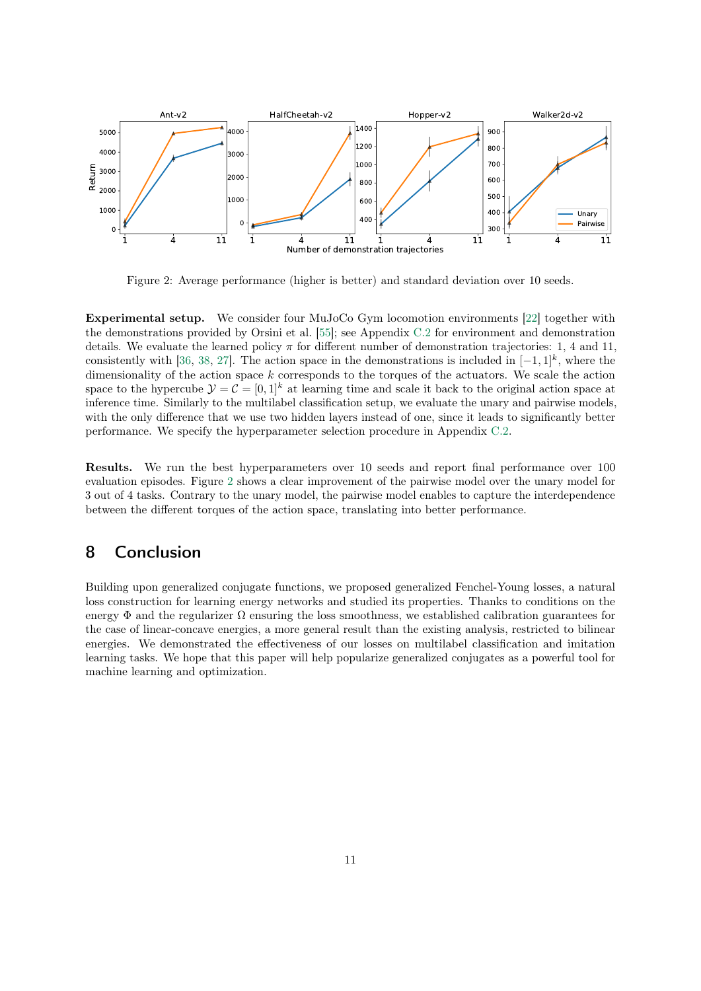

Figure 2: Average performance (higher is better) and standard deviation over 10 seeds.

Experimental setup. We consider four MuJoCo Gym locomotion environments [\[22\]](#page-12-0) together with the demonstrations provided by Orsini et al. [\[55\]](#page-13-0); see Appendix [C.2](#page-24-0) for environment and demonstration details. We evaluate the learned policy  $\pi$  for different number of demonstration trajectories: 1, 4 and 11, consistently with [\[36,](#page-12-0) [38,](#page-13-0) [27\]](#page-12-0). The action space in the demonstrations is included in  $[-1,1]^k$ , where the dimensionality of the action space  $k$  corresponds to the torques of the actuators. We scale the action space to the hypercube  $\mathcal{Y} = \mathcal{C} = [0, 1]^k$  at learning time and scale it back to the original action space at inference time. Similarly to the multilabel classification setup, we evaluate the unary and pairwise models, with the only difference that we use two hidden layers instead of one, since it leads to significantly better performance. We specify the hyperparameter selection procedure in Appendix [C.2.](#page-24-0)

Results. We run the best hyperparameters over 10 seeds and report final performance over 100 evaluation episodes. Figure 2 shows a clear improvement of the pairwise model over the unary model for 3 out of 4 tasks. Contrary to the unary model, the pairwise model enables to capture the interdependence between the different torques of the action space, translating into better performance.

### 8 Conclusion

Building upon generalized conjugate functions, we proposed generalized Fenchel-Young losses, a natural loss construction for learning energy networks and studied its properties. Thanks to conditions on the energy  $\Phi$  and the regularizer  $\Omega$  ensuring the loss smoothness, we established calibration guarantees for the case of linear-concave energies, a more general result than the existing analysis, restricted to bilinear energies. We demonstrated the effectiveness of our losses on multilabel classification and imitation learning tasks. We hope that this paper will help popularize generalized conjugates as a powerful tool for machine learning and optimization.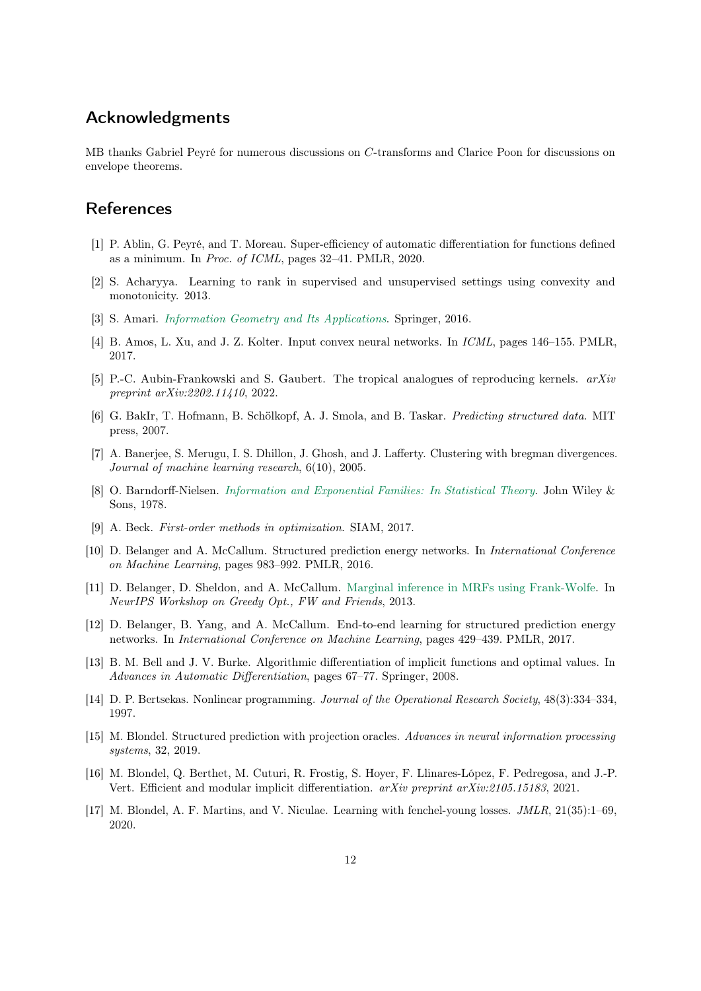### <span id="page-11-0"></span>Acknowledgments

MB thanks Gabriel Peyré for numerous discussions on C-transforms and Clarice Poon for discussions on envelope theorems.

### **References**

- [1] P. Ablin, G. Peyré, and T. Moreau. Super-efficiency of automatic differentiation for functions defined as a minimum. In Proc. of ICML, pages 32–41. PMLR, 2020.
- [2] S. Acharyya. Learning to rank in supervised and unsupervised settings using convexity and monotonicity. 2013.
- [3] S. Amari. [Information Geometry and Its Applications](https://www.springer.com/us/book/9784431559771). Springer, 2016.
- [4] B. Amos, L. Xu, and J. Z. Kolter. Input convex neural networks. In ICML, pages 146–155. PMLR, 2017.
- [5] P.-C. Aubin-Frankowski and S. Gaubert. The tropical analogues of reproducing kernels. arXiv preprint arXiv:2202.11410, 2022.
- [6] G. BakIr, T. Hofmann, B. Schölkopf, A. J. Smola, and B. Taskar. Predicting structured data. MIT press, 2007.
- [7] A. Banerjee, S. Merugu, I. S. Dhillon, J. Ghosh, and J. Lafferty. Clustering with bregman divergences. Journal of machine learning research, 6(10), 2005.
- [8] O. Barndorff-Nielsen. [Information and Exponential Families: In Statistical Theory](https://onlinelibrary.wiley.com/doi/book/10.1002/9781118857281). John Wiley & Sons, 1978.
- [9] A. Beck. First-order methods in optimization. SIAM, 2017.
- [10] D. Belanger and A. McCallum. Structured prediction energy networks. In International Conference on Machine Learning, pages 983–992. PMLR, 2016.
- [11] D. Belanger, D. Sheldon, and A. McCallum. [Marginal inference in MRFs using Frank-Wolfe.](http://www.cmap.polytechnique.fr/~jaggi/NeurIPS-workshop-FW-greedy/papers/belanger_sheldon_mccallum_final.pdf) In NeurIPS Workshop on Greedy Opt., FW and Friends, 2013.
- [12] D. Belanger, B. Yang, and A. McCallum. End-to-end learning for structured prediction energy networks. In International Conference on Machine Learning, pages 429–439. PMLR, 2017.
- [13] B. M. Bell and J. V. Burke. Algorithmic differentiation of implicit functions and optimal values. In Advances in Automatic Differentiation, pages 67–77. Springer, 2008.
- [14] D. P. Bertsekas. Nonlinear programming. Journal of the Operational Research Society, 48(3):334–334, 1997.
- [15] M. Blondel. Structured prediction with projection oracles. Advances in neural information processing systems, 32, 2019.
- [16] M. Blondel, Q. Berthet, M. Cuturi, R. Frostig, S. Hoyer, F. Llinares-López, F. Pedregosa, and J.-P. Vert. Efficient and modular implicit differentiation. arXiv preprint arXiv:2105.15183, 2021.
- [17] M. Blondel, A. F. Martins, and V. Niculae. Learning with fenchel-young losses. JMLR, 21(35):1–69, 2020.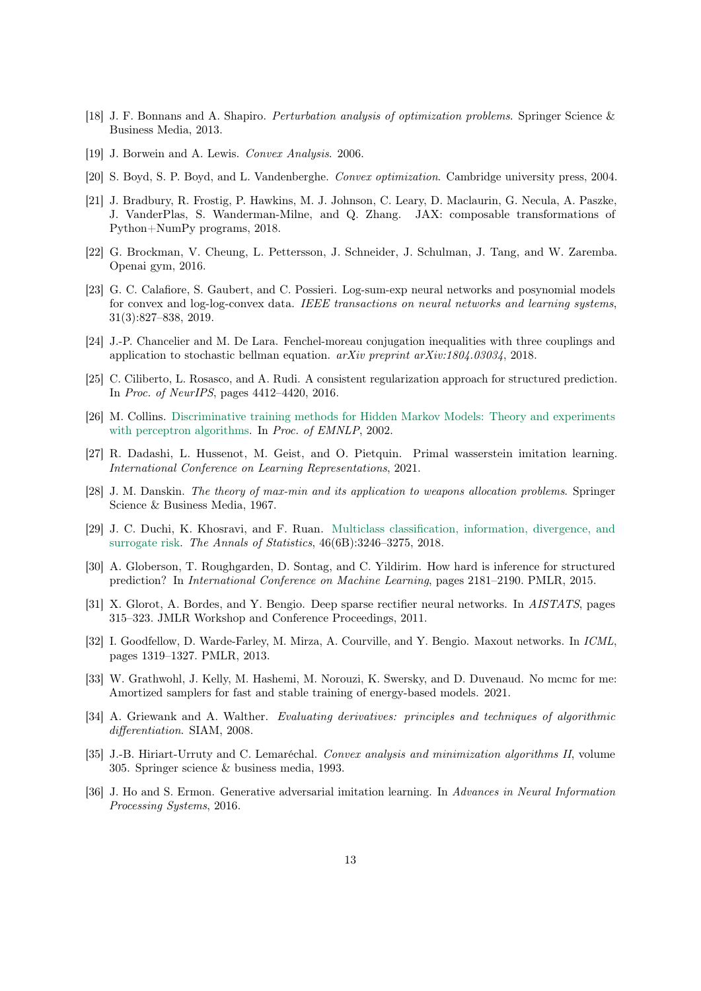- <span id="page-12-0"></span>[18] J. F. Bonnans and A. Shapiro. *Perturbation analysis of optimization problems*. Springer Science & Business Media, 2013.
- [19] J. Borwein and A. Lewis. Convex Analysis. 2006.
- [20] S. Boyd, S. P. Boyd, and L. Vandenberghe. Convex optimization. Cambridge university press, 2004.
- [21] J. Bradbury, R. Frostig, P. Hawkins, M. J. Johnson, C. Leary, D. Maclaurin, G. Necula, A. Paszke, J. VanderPlas, S. Wanderman-Milne, and Q. Zhang. JAX: composable transformations of Python+NumPy programs, 2018.
- [22] G. Brockman, V. Cheung, L. Pettersson, J. Schneider, J. Schulman, J. Tang, and W. Zaremba. Openai gym, 2016.
- [23] G. C. Calafiore, S. Gaubert, and C. Possieri. Log-sum-exp neural networks and posynomial models for convex and log-log-convex data. IEEE transactions on neural networks and learning systems, 31(3):827–838, 2019.
- [24] J.-P. Chancelier and M. De Lara. Fenchel-moreau conjugation inequalities with three couplings and application to stochastic bellman equation. arXiv preprint arXiv:1804.03034, 2018.
- [25] C. Ciliberto, L. Rosasco, and A. Rudi. A consistent regularization approach for structured prediction. In Proc. of NeurIPS, pages 4412–4420, 2016.
- [26] M. Collins. [Discriminative training methods for Hidden Markov Models: Theory and experiments](https://dl.acm.org/citation.cfm?id=1118694) [with perceptron algorithms.](https://dl.acm.org/citation.cfm?id=1118694) In Proc. of EMNLP, 2002.
- [27] R. Dadashi, L. Hussenot, M. Geist, and O. Pietquin. Primal wasserstein imitation learning. International Conference on Learning Representations, 2021.
- [28] J. M. Danskin. The theory of max-min and its application to weapons allocation problems. Springer Science & Business Media, 1967.
- [29] J. C. Duchi, K. Khosravi, and F. Ruan. [Multiclass classification, information, divergence, and](http://arxiv.org/abs/1603.00126) [surrogate risk.](http://arxiv.org/abs/1603.00126) The Annals of Statistics, 46(6B):3246–3275, 2018.
- [30] A. Globerson, T. Roughgarden, D. Sontag, and C. Yildirim. How hard is inference for structured prediction? In International Conference on Machine Learning, pages 2181–2190. PMLR, 2015.
- [31] X. Glorot, A. Bordes, and Y. Bengio. Deep sparse rectifier neural networks. In AISTATS, pages 315–323. JMLR Workshop and Conference Proceedings, 2011.
- [32] I. Goodfellow, D. Warde-Farley, M. Mirza, A. Courville, and Y. Bengio. Maxout networks. In ICML, pages 1319–1327. PMLR, 2013.
- [33] W. Grathwohl, J. Kelly, M. Hashemi, M. Norouzi, K. Swersky, and D. Duvenaud. No mcmc for me: Amortized samplers for fast and stable training of energy-based models. 2021.
- [34] A. Griewank and A. Walther. Evaluating derivatives: principles and techniques of algorithmic differentiation. SIAM, 2008.
- [35] J.-B. Hiriart-Urruty and C. Lemaréchal. Convex analysis and minimization algorithms II, volume 305. Springer science & business media, 1993.
- [36] J. Ho and S. Ermon. Generative adversarial imitation learning. In Advances in Neural Information Processing Systems, 2016.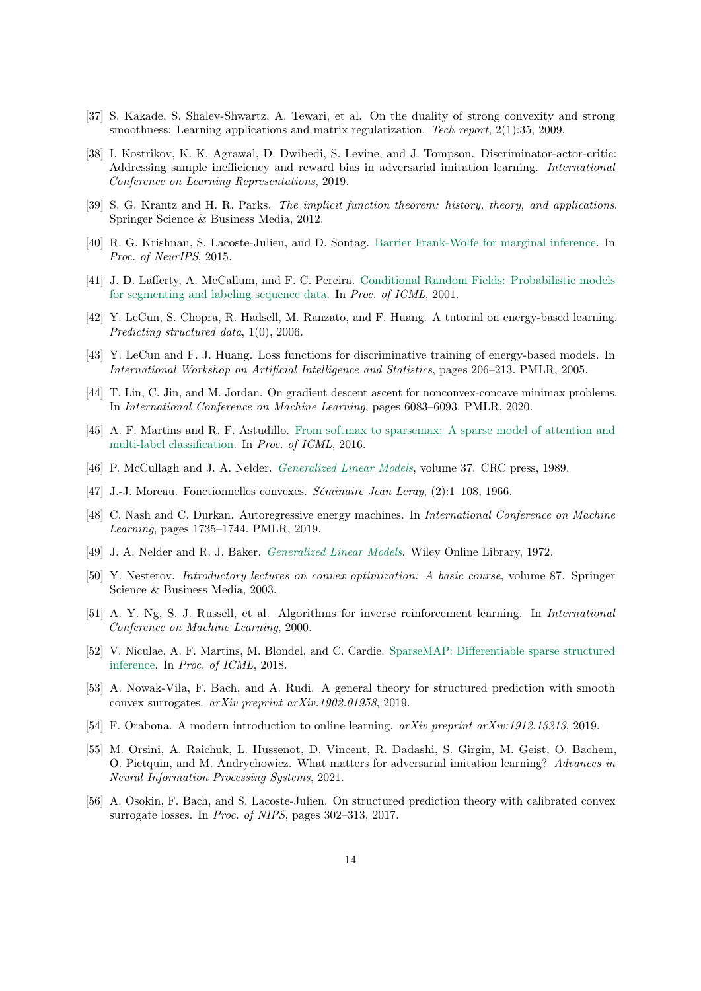- <span id="page-13-0"></span>[37] S. Kakade, S. Shalev-Shwartz, A. Tewari, et al. On the duality of strong convexity and strong smoothness: Learning applications and matrix regularization. Tech report, 2(1):35, 2009.
- [38] I. Kostrikov, K. K. Agrawal, D. Dwibedi, S. Levine, and J. Tompson. Discriminator-actor-critic: Addressing sample inefficiency and reward bias in adversarial imitation learning. International Conference on Learning Representations, 2019.
- [39] S. G. Krantz and H. R. Parks. The implicit function theorem: history, theory, and applications. Springer Science & Business Media, 2012.
- [40] R. G. Krishnan, S. Lacoste-Julien, and D. Sontag. [Barrier Frank-Wolfe for marginal inference.](https://arxiv.org/abs/1511.02124) In Proc. of NeurIPS, 2015.
- [41] J. D. Lafferty, A. McCallum, and F. C. Pereira. [Conditional Random Fields: Probabilistic models](http://dl.acm.org/citation.cfm?id=645530.655813) [for segmenting and labeling sequence data.](http://dl.acm.org/citation.cfm?id=645530.655813) In Proc. of ICML, 2001.
- [42] Y. LeCun, S. Chopra, R. Hadsell, M. Ranzato, and F. Huang. A tutorial on energy-based learning. Predicting structured data, 1(0), 2006.
- [43] Y. LeCun and F. J. Huang. Loss functions for discriminative training of energy-based models. In International Workshop on Artificial Intelligence and Statistics, pages 206–213. PMLR, 2005.
- [44] T. Lin, C. Jin, and M. Jordan. On gradient descent ascent for nonconvex-concave minimax problems. In International Conference on Machine Learning, pages 6083–6093. PMLR, 2020.
- [45] A. F. Martins and R. F. Astudillo. [From softmax to sparsemax: A sparse model of attention and](https://arxiv.org/abs/1602.02068) [multi-label classification.](https://arxiv.org/abs/1602.02068) In Proc. of ICML, 2016.
- [46] P. McCullagh and J. A. Nelder. [Generalized Linear Models](https://www.crcpress.com/Generalized-Linear-Models/McCullagh-Nelder/p/book/9780412317606), volume 37. CRC press, 1989.
- [47] J.-J. Moreau. Fonctionnelles convexes. Séminaire Jean Leray, (2):1–108, 1966.
- [48] C. Nash and C. Durkan. Autoregressive energy machines. In International Conference on Machine Learning, pages 1735–1744. PMLR, 2019.
- [49] J. A. Nelder and R. J. Baker. [Generalized Linear Models](https://onlinelibrary.wiley.com/doi/full/10.1002/0471667196.ess0866.pub2). Wiley Online Library, 1972.
- [50] Y. Nesterov. Introductory lectures on convex optimization: A basic course, volume 87. Springer Science & Business Media, 2003.
- [51] A. Y. Ng, S. J. Russell, et al. Algorithms for inverse reinforcement learning. In International Conference on Machine Learning, 2000.
- [52] V. Niculae, A. F. Martins, M. Blondel, and C. Cardie. [SparseMAP: Differentiable sparse structured](https://arxiv.org/abs/1802.04223) [inference.](https://arxiv.org/abs/1802.04223) In Proc. of ICML, 2018.
- [53] A. Nowak-Vila, F. Bach, and A. Rudi. A general theory for structured prediction with smooth convex surrogates. arXiv preprint arXiv:1902.01958, 2019.
- [54] F. Orabona. A modern introduction to online learning. arXiv preprint arXiv:1912.13213, 2019.
- [55] M. Orsini, A. Raichuk, L. Hussenot, D. Vincent, R. Dadashi, S. Girgin, M. Geist, O. Bachem, O. Pietquin, and M. Andrychowicz. What matters for adversarial imitation learning? Advances in Neural Information Processing Systems, 2021.
- [56] A. Osokin, F. Bach, and S. Lacoste-Julien. On structured prediction theory with calibrated convex surrogate losses. In Proc. of NIPS, pages 302–313, 2017.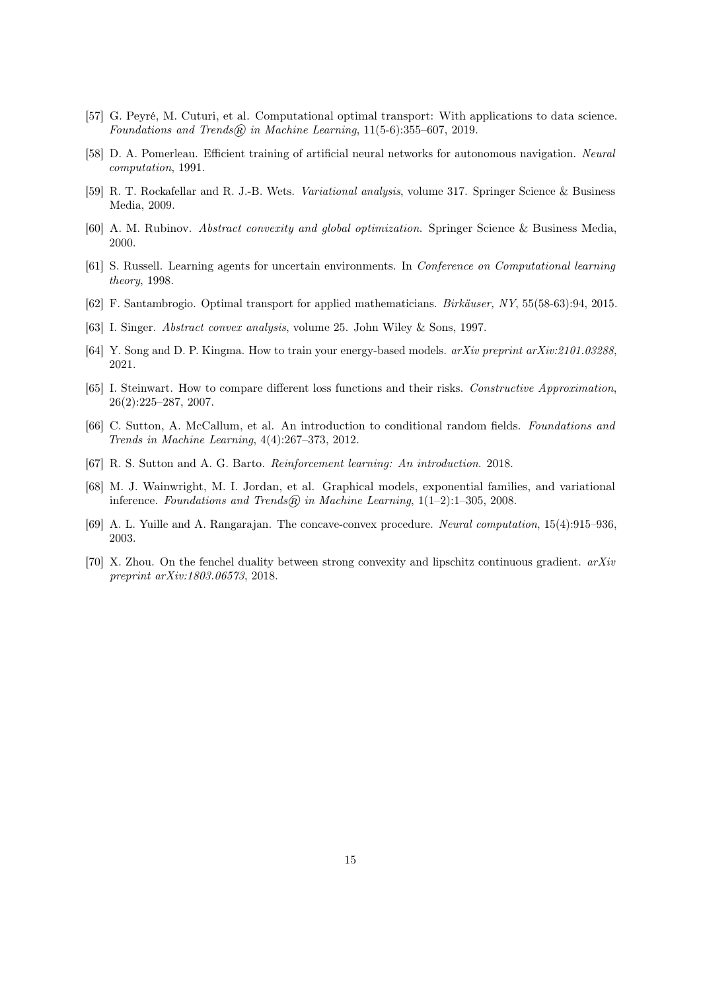- <span id="page-14-0"></span>[57] G. Peyré, M. Cuturi, et al. Computational optimal transport: With applications to data science. Foundations and Trends $\widehat{\mathfrak{m}}$  in Machine Learning, 11(5-6):355–607, 2019.
- [58] D. A. Pomerleau. Efficient training of artificial neural networks for autonomous navigation. Neural computation, 1991.
- [59] R. T. Rockafellar and R. J.-B. Wets. Variational analysis, volume 317. Springer Science & Business Media, 2009.
- [60] A. M. Rubinov. Abstract convexity and global optimization. Springer Science & Business Media, 2000.
- [61] S. Russell. Learning agents for uncertain environments. In Conference on Computational learning theory, 1998.
- [62] F. Santambrogio. Optimal transport for applied mathematicians. Birkäuser, NY, 55(58-63):94, 2015.
- [63] I. Singer. Abstract convex analysis, volume 25. John Wiley & Sons, 1997.
- [64] Y. Song and D. P. Kingma. How to train your energy-based models. arXiv preprint arXiv:2101.03288, 2021.
- [65] I. Steinwart. How to compare different loss functions and their risks. Constructive Approximation, 26(2):225–287, 2007.
- [66] C. Sutton, A. McCallum, et al. An introduction to conditional random fields. Foundations and Trends in Machine Learning, 4(4):267–373, 2012.
- [67] R. S. Sutton and A. G. Barto. Reinforcement learning: An introduction. 2018.
- [68] M. J. Wainwright, M. I. Jordan, et al. Graphical models, exponential families, and variational inference. Foundations and Trends $\mathcal{R}$  in Machine Learning, 1(1–2):1–305, 2008.
- [69] A. L. Yuille and A. Rangarajan. The concave-convex procedure. Neural computation, 15(4):915–936, 2003.
- [70] X. Zhou. On the fenchel duality between strong convexity and lipschitz continuous gradient.  $arXiv$ preprint arXiv:1803.06573, 2018.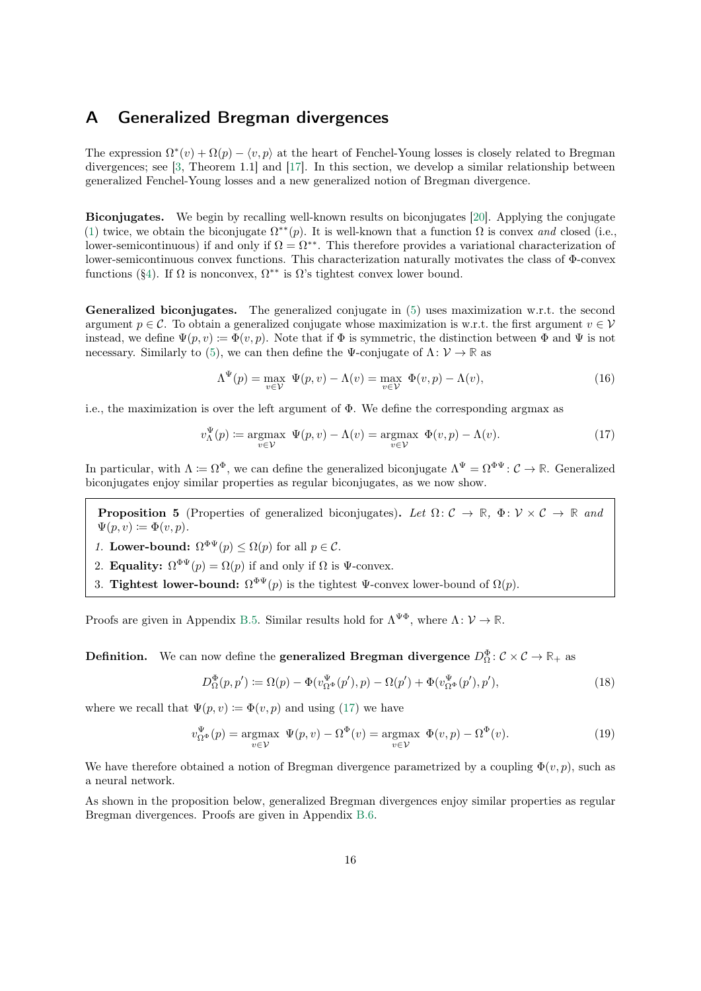### <span id="page-15-0"></span>A Generalized Bregman divergences

The expression  $\Omega^*(v) + \Omega(p) - \langle v, p \rangle$  at the heart of Fenchel-Young losses is closely related to Bregman divergences; see [\[3,](#page-11-0) Theorem 1.1] and [\[17\]](#page-11-0). In this section, we develop a similar relationship between generalized Fenchel-Young losses and a new generalized notion of Bregman divergence.

Biconjugates. We begin by recalling well-known results on biconjugates [\[20\]](#page-12-0). Applying the conjugate [\(1\)](#page-1-0) twice, we obtain the biconjugate  $\Omega^{**}(p)$ . It is well-known that a function  $\Omega$  is convex and closed (i.e., lower-semicontinuous) if and only if  $\Omega = \Omega^{**}$ . This therefore provides a variational characterization of lower-semicontinuous convex functions. This characterization naturally motivates the class of Φ-convex functions ([§4\)](#page-4-0). If  $\Omega$  is nonconvex,  $\Omega^{**}$  is  $\Omega$ 's tightest convex lower bound.

**Generalized biconjugates.** The generalized conjugate in  $(5)$  uses maximization w.r.t. the second argument  $p \in \mathcal{C}$ . To obtain a generalized conjugate whose maximization is w.r.t. the first argument  $v \in \mathcal{V}$ instead, we define  $\Psi(p, v) := \Phi(v, p)$ . Note that if  $\Phi$  is symmetric, the distinction between  $\Phi$  and  $\Psi$  is not necessary. Similarly to [\(5\)](#page-4-0), we can then define the  $\Psi$ -conjugate of  $\Lambda: \mathcal{V} \to \mathbb{R}$  as

$$
\Lambda^{\Psi}(p) = \max_{v \in \mathcal{V}} \Psi(p, v) - \Lambda(v) = \max_{v \in \mathcal{V}} \Phi(v, p) - \Lambda(v), \tag{16}
$$

i.e., the maximization is over the left argument of  $\Phi$ . We define the corresponding argmax as

$$
v_{\Lambda}^{\Psi}(p) \coloneqq \underset{v \in \mathcal{V}}{\operatorname{argmax}} \ \Psi(p, v) - \Lambda(v) = \underset{v \in \mathcal{V}}{\operatorname{argmax}} \ \Phi(v, p) - \Lambda(v). \tag{17}
$$

In particular, with  $\Lambda \coloneqq \Omega^{\Phi}$ , we can define the generalized biconjugate  $\Lambda^{\Psi} = \Omega^{\Phi\Psi} \colon \mathcal{C} \to \mathbb{R}$ . Generalized biconjugates enjoy similar properties as regular biconjugates, as we now show.

**Proposition 5** (Properties of generalized biconjugates). Let  $\Omega: \mathcal{C} \to \mathbb{R}$ ,  $\Phi: \mathcal{V} \times \mathcal{C} \to \mathbb{R}$  and  $\Psi(p, v) \coloneqq \Phi(v, p).$ 

- 1. Lower-bound:  $\Omega^{\Phi\Psi}(p) \leq \Omega(p)$  for all  $p \in \mathcal{C}$ .
- 2. **Equality:**  $\Omega^{\Phi\Psi}(p) = \Omega(p)$  if and only if  $\Omega$  is  $\Psi$ -convex.
- 3. Tightest lower-bound:  $\Omega^{\Phi\Psi}(p)$  is the tightest  $\Psi$ -convex lower-bound of  $\Omega(p)$ .

Proofs are given in Appendix [B.5.](#page-21-0) Similar results hold for  $\Lambda^{\Psi\Phi}$ , where  $\Lambda: \mathcal{V} \to \mathbb{R}$ .

**Definition.** We can now define the **generalized Bregman divergence**  $D_{\Omega}^{\Phi}$ :  $\mathcal{C} \times \mathcal{C} \to \mathbb{R}_+$  as

$$
D_{\Omega}^{\Phi}(p, p') \coloneqq \Omega(p) - \Phi(v_{\Omega^{\Phi}}^{\Psi}(p'), p) - \Omega(p') + \Phi(v_{\Omega^{\Phi}}^{\Psi}(p'), p'), \tag{18}
$$

where we recall that  $\Psi(p, v) := \Phi(v, p)$  and using (17) we have

$$
v_{\Omega^{\Phi}}^{\Psi}(p) = \underset{v \in \mathcal{V}}{\operatorname{argmax}} \ \Psi(p, v) - \Omega^{\Phi}(v) = \underset{v \in \mathcal{V}}{\operatorname{argmax}} \ \Phi(v, p) - \Omega^{\Phi}(v). \tag{19}
$$

We have therefore obtained a notion of Bregman divergence parametrized by a coupling  $\Phi(v, p)$ , such as a neural network.

As shown in the proposition below, generalized Bregman divergences enjoy similar properties as regular Bregman divergences. Proofs are given in Appendix [B.6.](#page-22-0)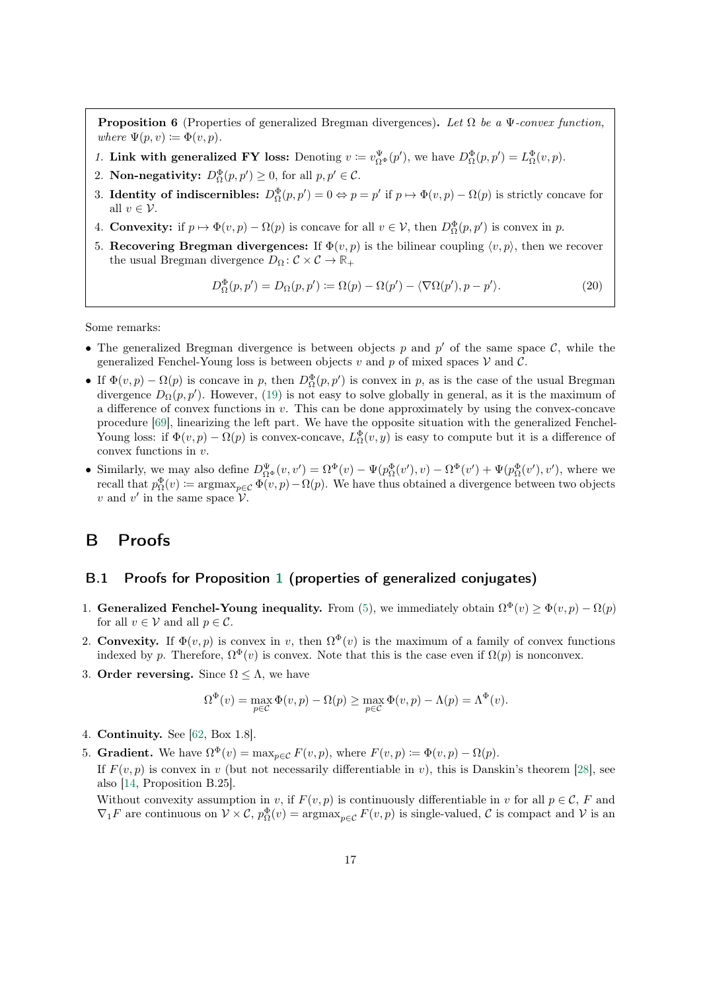<span id="page-16-0"></span>**Proposition 6** (Properties of generalized Bregman divergences). Let  $\Omega$  be a  $\Psi$ -convex function, where  $\Psi(p, v) \coloneqq \Phi(v, p)$ .

- 1. Link with generalized FY loss: Denoting  $v := v_{\Omega^{\Phi}}^{\Psi}(p')$ , we have  $D_{\Omega}^{\Phi}(p, p') = L_{\Omega}^{\Phi}(v, p)$ .
- 2. **Non-negativity:**  $D_{\Omega}^{\Phi}(p, p') \ge 0$ , for all  $p, p' \in \mathcal{C}$ .
- 3. Identity of indiscernibles:  $D_{\Omega}^{\Phi}(p, p') = 0 \Leftrightarrow p = p'$  if  $p \mapsto \Phi(v, p) \Omega(p)$  is strictly concave for all  $v \in \mathcal{V}$ .
- 4. **Convexity:** if  $p \mapsto \Phi(v, p) \Omega(p)$  is concave for all  $v \in V$ , then  $D_{\Omega}^{\Phi}(p, p')$  is convex in p.
- 5. Recovering Bregman divergences: If  $\Phi(v, p)$  is the bilinear coupling  $\langle v, p \rangle$ , then we recover the usual Bregman divergence  $D_{\Omega} : \mathcal{C} \times \mathcal{C} \to \mathbb{R}_+$

$$
D_{\Omega}^{\Phi}(p, p') = D_{\Omega}(p, p') := \Omega(p) - \Omega(p') - \langle \nabla \Omega(p'), p - p' \rangle.
$$
 (20)

Some remarks:

- The generalized Bregman divergence is between objects p and  $p'$  of the same space C, while the generalized Fenchel-Young loss is between objects v and p of mixed spaces  $\mathcal V$  and  $\mathcal C$ .
- If  $\Phi(v,p) \Omega(p)$  is concave in p, then  $D_{\Omega}^{\Phi}(p,p')$  is convex in p, as is the case of the usual Bregman divergence  $D_{\Omega}(p, p')$ . However, [\(19\)](#page-15-0) is not easy to solve globally in general, as it is the maximum of a difference of convex functions in  $v$ . This can be done approximately by using the convex-concave procedure [\[69\]](#page-14-0), linearizing the left part. We have the opposite situation with the generalized Fenchel-Young loss: if  $\Phi(v,p) - \Omega(p)$  is convex-concave,  $L^{\Phi}_{\Omega}(v,y)$  is easy to compute but it is a difference of convex functions in v.
- Similarly, we may also define  $D_{\Omega^{\Phi}}^{\Psi}(v, v') = \Omega^{\Phi}(v) \Psi(p_{\Omega}^{\Phi}(v'), v) \Omega^{\Phi}(v') + \Psi(p_{\Omega}^{\Phi}(v'), v')$ , where we recall that  $p_{\Omega}^{\Phi}(v) \coloneqq \operatorname{argmax}_{p \in \mathcal{C}} \Phi(v, p) - \Omega(p)$ . We have thus obtained a divergence between two objects v and v' in the same space  $\mathcal V$ .

### B Proofs

#### B.1 Proofs for Proposition [1](#page-5-0) (properties of generalized conjugates)

- 1. Generalized Fenchel-Young inequality. From [\(5\)](#page-4-0), we immediately obtain  $\Omega^{\Phi}(v) \ge \Phi(v, p) \Omega(p)$ for all  $v\in\mathcal{V}$  and all  $p\in\mathcal{C}.$
- 2. Convexity. If  $\Phi(v, p)$  is convex in v, then  $\Omega^{\Phi}(v)$  is the maximum of a family of convex functions indexed by p. Therefore,  $\Omega^{\Phi}(v)$  is convex. Note that this is the case even if  $\Omega(p)$  is nonconvex.
- 3. Order reversing. Since  $\Omega \leq \Lambda$ , we have

$$
\Omega^{\Phi}(v) = \max_{p \in \mathcal{C}} \Phi(v, p) - \Omega(p) \ge \max_{p \in \mathcal{C}} \Phi(v, p) - \Lambda(p) = \Lambda^{\Phi}(v).
$$

- 4. Continuity. See [\[62,](#page-14-0) Box 1.8].
- 5. **Gradient.** We have  $\Omega^{\Phi}(v) = \max_{p \in \mathcal{C}} F(v, p)$ , where  $F(v, p) := \Phi(v, p) \Omega(p)$ .

If  $F(v, p)$  is convex in v (but not necessarily differentiable in v), this is Danskin's theorem [\[28\]](#page-12-0), see also [\[14,](#page-11-0) Proposition B.25].

Without convexity assumption in v, if  $F(v, p)$  is continuously differentiable in v for all  $p \in \mathcal{C}$ , F and  $\nabla_1 F$  are continuous on  $V \times C$ ,  $p_{\Omega}^{\Phi}(v) = \argmax_{p \in C} F(v, p)$  is single-valued, C is compact and V is an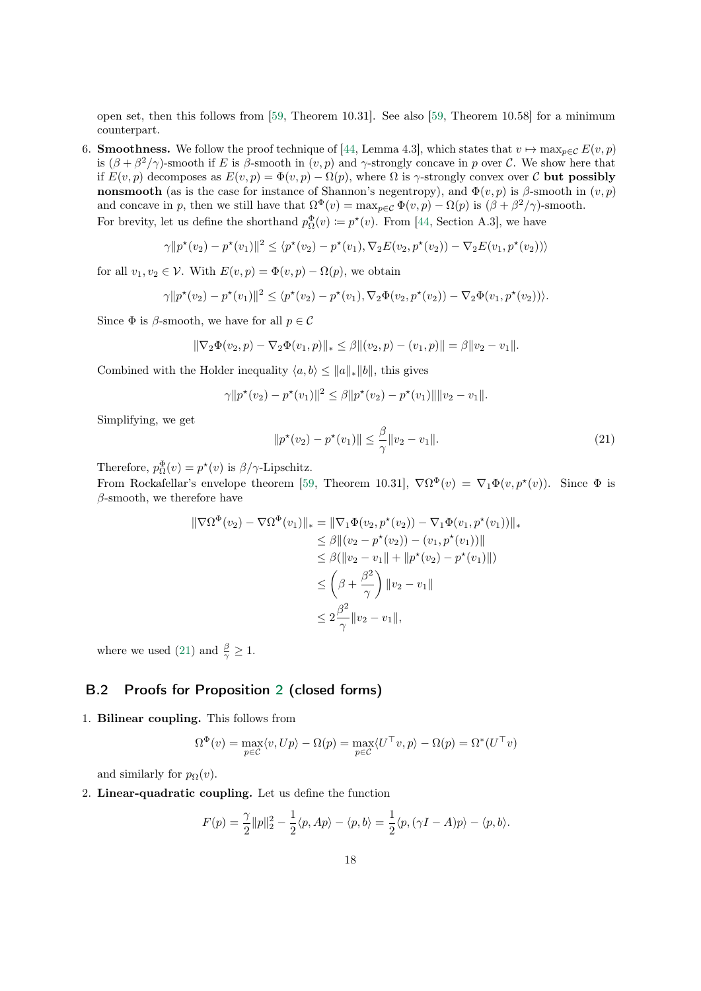<span id="page-17-0"></span>open set, then this follows from [\[59,](#page-14-0) Theorem 10.31]. See also [\[59,](#page-14-0) Theorem 10.58] for a minimum counterpart.

6. **Smoothness.** We follow the proof technique of [\[44,](#page-13-0) Lemma 4.3], which states that  $v \mapsto \max_{p \in \mathcal{C}} E(v, p)$ is  $(\beta + \beta^2/\gamma)$ -smooth if E is  $\beta$ -smooth in  $(v, p)$  and  $\gamma$ -strongly concave in p over C. We show here that if  $E(v, p)$  decomposes as  $E(v, p) = \Phi(v, p) - \Omega(p)$ , where  $\Omega$  is  $\gamma$ -strongly convex over C but possibly nonsmooth (as is the case for instance of Shannon's negentropy), and  $\Phi(v, p)$  is  $\beta$ -smooth in  $(v, p)$ and concave in p, then we still have that  $\Omega^{\Phi}(v) = \max_{p \in C} \Phi(v, p) - \Omega(p)$  is  $(\beta + \beta^2/\gamma)$ -smooth. For brevity, let us define the shorthand  $p_{\Omega}^{\Phi}(v) \coloneqq p^*(v)$ . From [\[44,](#page-13-0) Section A.3], we have

$$
\gamma ||p^{\star}(v_2) - p^{\star}(v_1)||^2 \leq \langle p^{\star}(v_2) - p^{\star}(v_1), \nabla_2 E(v_2, p^{\star}(v_2)) - \nabla_2 E(v_1, p^{\star}(v_2)) \rangle
$$

for all  $v_1, v_2 \in \mathcal{V}$ . With  $E(v, p) = \Phi(v, p) - \Omega(p)$ , we obtain

$$
\gamma \|p^{\star}(v_2) - p^{\star}(v_1)\|^2 \leq \langle p^{\star}(v_2) - p^{\star}(v_1), \nabla_2 \Phi(v_2, p^{\star}(v_2)) - \nabla_2 \Phi(v_1, p^{\star}(v_2)) \rangle.
$$

Since  $\Phi$  is  $\beta$ -smooth, we have for all  $p \in \mathcal{C}$ 

$$
\|\nabla_2 \Phi(v_2, p) - \nabla_2 \Phi(v_1, p)\|_{*} \leq \beta \|(v_2, p) - (v_1, p)\| = \beta \|v_2 - v_1\|.
$$

Combined with the Holder inequality  $\langle a, b \rangle \le ||a||_*||b||$ , this gives

$$
\gamma \| p^{\star}(v_2) - p^{\star}(v_1) \|^2 \leq \beta \| p^{\star}(v_2) - p^{\star}(v_1) \| \| v_2 - v_1 \|.
$$

Simplifying, we get

$$
||p^*(v_2) - p^*(v_1)|| \le \frac{\beta}{\gamma} ||v_2 - v_1||. \tag{21}
$$

Therefore,  $p_{\Omega}^{\Phi}(v) = p^{\star}(v)$  is  $\beta/\gamma$ -Lipschitz.

From Rockafellar's envelope theorem [\[59,](#page-14-0) Theorem 10.31],  $\nabla \Omega^{\Phi}(v) = \nabla_1 \Phi(v, p^*(v))$ . Since  $\Phi$  is  $\beta$ -smooth, we therefore have

$$
\|\nabla\Omega^{\Phi}(v_2) - \nabla\Omega^{\Phi}(v_1)\|_{*} = \|\nabla_1\Phi(v_2, p^{\star}(v_2)) - \nabla_1\Phi(v_1, p^{\star}(v_1))\|_{*} \n\leq \beta \|(v_2 - p^{\star}(v_2)) - (v_1, p^{\star}(v_1))\| \n\leq \beta (\|v_2 - v_1\| + \|p^{\star}(v_2) - p^{\star}(v_1)\|) \n\leq \left(\beta + \frac{\beta^2}{\gamma}\right) \|v_2 - v_1\| \n\leq 2\frac{\beta^2}{\gamma} \|v_2 - v_1\|,
$$

where we used (21) and  $\frac{\beta}{\gamma} \geq 1$ .

#### B.2 Proofs for Proposition [2](#page-5-0) (closed forms)

1. Bilinear coupling. This follows from

$$
\Omega^{\Phi}(v) = \max_{p \in \mathcal{C}} \langle v, Up \rangle - \Omega(p) = \max_{p \in \mathcal{C}} \langle U^{\top}v, p \rangle - \Omega(p) = \Omega^*(U^{\top}v)
$$

and similarly for  $p_{\Omega}(v)$ .

2. Linear-quadratic coupling. Let us define the function

$$
F(p) = \frac{\gamma}{2} ||p||_2^2 - \frac{1}{2} \langle p, Ap \rangle - \langle p, b \rangle = \frac{1}{2} \langle p, (\gamma I - A)p \rangle - \langle p, b \rangle.
$$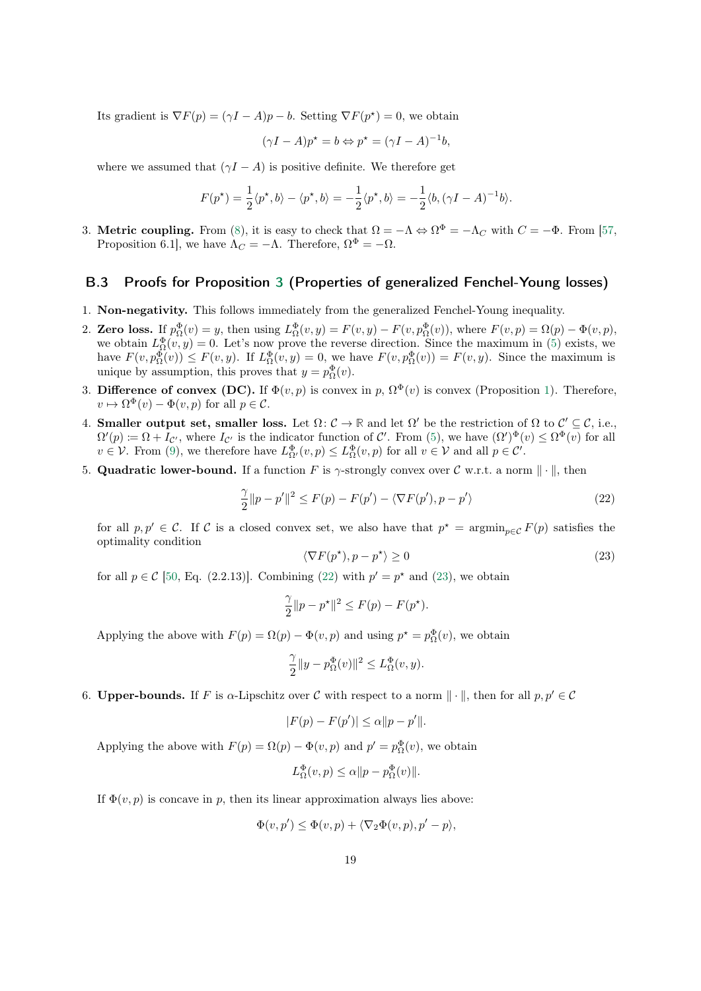<span id="page-18-0"></span>Its gradient is  $\nabla F(p) = (\gamma I - A)p - b$ . Setting  $\nabla F(p^*) = 0$ , we obtain

$$
(\gamma I - A)p^* = b \Leftrightarrow p^* = (\gamma I - A)^{-1}b,
$$

where we assumed that  $(\gamma I - A)$  is positive definite. We therefore get

$$
F(p^*) = \frac{1}{2} \langle p^*, b \rangle - \langle p^*, b \rangle = -\frac{1}{2} \langle p^*, b \rangle = -\frac{1}{2} \langle b, (\gamma I - A)^{-1} b \rangle.
$$

3. Metric coupling. From [\(8\)](#page-5-0), it is easy to check that  $\Omega = -\Lambda \Leftrightarrow \Omega^{\Phi} = -\Lambda_C$  with  $C = -\Phi$ . From [\[57,](#page-14-0) Proposition 6.1], we have  $\Lambda_C = -\Lambda$ . Therefore,  $\Omega^{\Phi} = -\Omega$ .

#### B.3 Proofs for Proposition [3](#page-6-0) (Properties of generalized Fenchel-Young losses)

- 1. Non-negativity. This follows immediately from the generalized Fenchel-Young inequality.
- 2. Zero loss. If  $p_{\Omega}^{\Phi}(v) = y$ , then using  $L_{\Omega}^{\Phi}(v, y) = F(v, y) F(v, p_{\Omega}^{\Phi}(v))$ , where  $F(v, p) = \Omega(p) \Phi(v, p)$ , we obtain  $L_{\Omega}^{\Phi}(v, y) = 0$ . Let's now prove the reverse direction. Since the maximum in [\(5\)](#page-4-0) exists, we have  $F(v, p_{\Omega}^{\Phi}(v)) \leq F(v, y)$ . If  $L_{\Omega}^{\Phi}(v, y) = 0$ , we have  $F(v, p_{\Omega}^{\Phi}(v)) = F(v, y)$ . Since the maximum is unique by assumption, this proves that  $y = p_{\Omega}^{\Phi}(v)$ .
- 3. Difference of convex (DC). If  $\Phi(v, p)$  is convex in p,  $\Omega^{\Phi}(v)$  is convex (Proposition [1\)](#page-5-0). Therefore,  $v \mapsto \Omega^{\Phi}(v) - \Phi(v, p)$  for all  $p \in \mathcal{C}$ .
- 4. **Smaller output set, smaller loss.** Let  $\Omega: \mathcal{C} \to \mathbb{R}$  and let  $\Omega'$  be the restriction of  $\Omega$  to  $\mathcal{C}' \subseteq \mathcal{C}$ , i.e.,  $\Omega'(p) \coloneqq \Omega + I_{\mathcal{C}'}$ , where  $I_{\mathcal{C}'}$  is the indicator function of  $\mathcal{C}'$ . From [\(5\)](#page-4-0), we have  $(\Omega')^{\Phi}(v) \leq \Omega^{\Phi}(v)$  for all  $v \in V$ . From [\(9\)](#page-6-0), we therefore have  $L_{\Omega'}^{\Phi}(v, p) \leq L_{\Omega}^{\Phi}(v, p)$  for all  $v \in V$  and all  $p \in \mathcal{C}'$ .
- 5. Quadratic lower-bound. If a function F is  $\gamma$ -strongly convex over C w.r.t. a norm  $\|\cdot\|$ , then

$$
\frac{\gamma}{2}||p - p'||^2 \le F(p) - F(p') - \langle \nabla F(p'), p - p' \rangle \tag{22}
$$

for all  $p, p' \in C$ . If C is a closed convex set, we also have that  $p^* = \operatorname{argmin}_{p \in C} F(p)$  satisfies the optimality condition

$$
\langle \nabla F(p^{\star}), p - p^{\star} \rangle \ge 0 \tag{23}
$$

for all  $p \in \mathcal{C}$  [\[50,](#page-13-0) Eq. (2.2.13)]. Combining (22) with  $p' = p^*$  and (23), we obtain

$$
\frac{\gamma}{2}||p - p^{\star}||^2 \le F(p) - F(p^{\star}).
$$

Applying the above with  $F(p) = \Omega(p) - \Phi(v, p)$  and using  $p^* = p_{\Omega}^{\Phi}(v)$ , we obtain

$$
\frac{\gamma}{2}\|y-p_{\Omega}^{\Phi}(v)\|^2\leq L_{\Omega}^{\Phi}(v,y).
$$

6. Upper-bounds. If F is  $\alpha$ -Lipschitz over C with respect to a norm  $\|\cdot\|$ , then for all  $p, p' \in \mathcal{C}$ 

$$
|F(p) - F(p')| \le \alpha ||p - p'||.
$$

Applying the above with  $F(p) = \Omega(p) - \Phi(v, p)$  and  $p' = p_{\Omega}^{\Phi}(v)$ , we obtain

$$
L_{\Omega}^{\Phi}(v,p) \le \alpha ||p - p_{\Omega}^{\Phi}(v)||.
$$

If  $\Phi(v, p)$  is concave in p, then its linear approximation always lies above:

$$
\Phi(v, p') \le \Phi(v, p) + \langle \nabla_2 \Phi(v, p), p' - p \rangle,
$$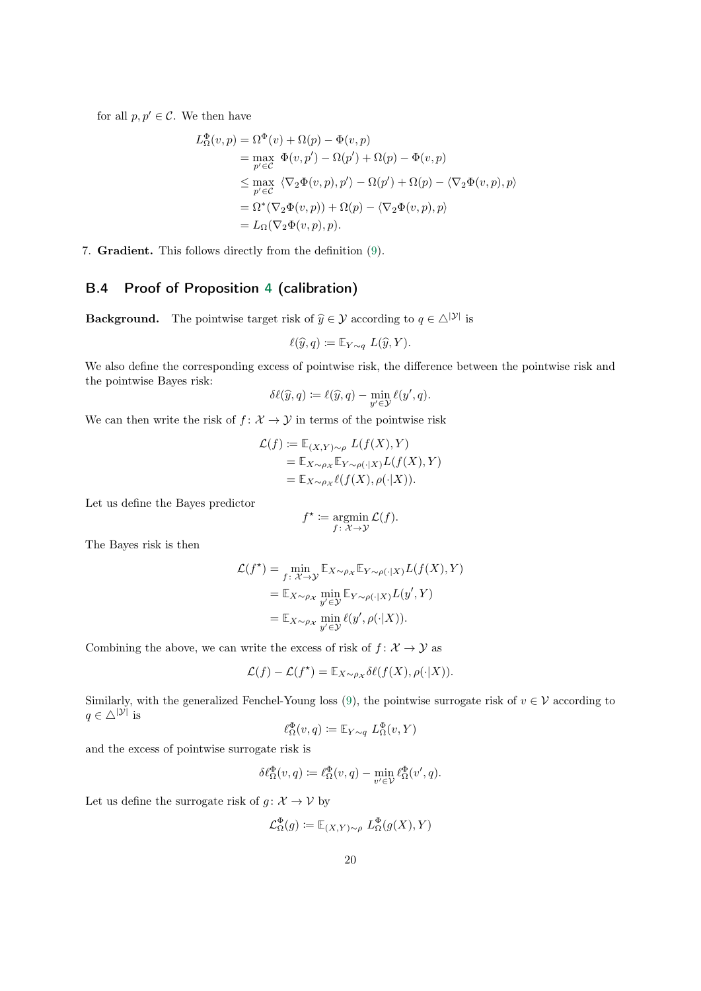<span id="page-19-0"></span>for all  $p, p' \in \mathcal{C}$ . We then have

$$
L^{\Phi}_{\Omega}(v, p) = \Omega^{\Phi}(v) + \Omega(p) - \Phi(v, p)
$$
  
= 
$$
\max_{p' \in C} \Phi(v, p') - \Omega(p') + \Omega(p) - \Phi(v, p)
$$
  

$$
\leq \max_{p' \in C} \langle \nabla_2 \Phi(v, p), p' \rangle - \Omega(p') + \Omega(p) - \langle \nabla_2 \Phi(v, p), p \rangle
$$
  
= 
$$
\Omega^*(\nabla_2 \Phi(v, p)) + \Omega(p) - \langle \nabla_2 \Phi(v, p), p \rangle
$$
  
= 
$$
L_{\Omega}(\nabla_2 \Phi(v, p), p).
$$

7. Gradient. This follows directly from the definition [\(9\)](#page-6-0).

### B.4 Proof of Proposition [4](#page-8-0) (calibration)

**Background.** The pointwise target risk of  $\hat{y} \in \mathcal{Y}$  according to  $q \in \triangle^{|\mathcal{Y}|}$  is

$$
\ell(\widehat{y}, q) \coloneqq \mathbb{E}_{Y \sim q} L(\widehat{y}, Y).
$$

We also define the corresponding excess of pointwise risk, the difference between the pointwise risk and the pointwise Bayes risk:

$$
\delta\ell(\widehat{y},q) := \ell(\widehat{y},q) - \min_{y' \in \mathcal{Y}} \ell(y',q).
$$

We can then write the risk of  $f: \mathcal{X} \to \mathcal{Y}$  in terms of the pointwise risk

$$
\mathcal{L}(f) := \mathbb{E}_{(X,Y)\sim\rho} L(f(X), Y)
$$
  
= 
$$
\mathbb{E}_{X\sim\rho_X} \mathbb{E}_{Y\sim\rho(\cdot|X)} L(f(X), Y)
$$
  
= 
$$
\mathbb{E}_{X\sim\rho_X} \ell(f(X), \rho(\cdot|X)).
$$

Let us define the Bayes predictor

$$
f^* := \operatorname*{argmin}_{f: \mathcal{X} \to \mathcal{Y}} \mathcal{L}(f).
$$

The Bayes risk is then

$$
\mathcal{L}(f^*) = \min_{f: \mathcal{X} \to \mathcal{Y}} \mathbb{E}_{X \sim \rho_X} \mathbb{E}_{Y \sim \rho(\cdot|X)} L(f(X), Y)
$$
  
= 
$$
\mathbb{E}_{X \sim \rho_X} \min_{y' \in \mathcal{Y}} \mathbb{E}_{Y \sim \rho(\cdot|X)} L(y', Y)
$$
  
= 
$$
\mathbb{E}_{X \sim \rho_X} \min_{y' \in \mathcal{Y}} \ell(y', \rho(\cdot|X)).
$$

Combining the above, we can write the excess of risk of  $f: \mathcal{X} \to \mathcal{Y}$  as

$$
\mathcal{L}(f) - \mathcal{L}(f^*) = \mathbb{E}_{X \sim \rho_X} \delta \ell(f(X), \rho(\cdot | X)).
$$

Similarly, with the generalized Fenchel-Young loss [\(9\)](#page-6-0), the pointwise surrogate risk of  $v \in V$  according to  $q \in \triangle^{|\mathcal{Y}|}$  is

$$
\ell_{\Omega}^{\Phi}(v,q) \coloneqq \mathbb{E}_{Y \sim q} \ L_{\Omega}^{\Phi}(v,Y)
$$

and the excess of pointwise surrogate risk is

$$
\delta \ell_{\Omega}^{\Phi}(v,q) \coloneqq \ell_{\Omega}^{\Phi}(v,q) - \min_{v' \in \mathcal{V}} \ell_{\Omega}^{\Phi}(v',q).
$$

Let us define the surrogate risk of  $g: \mathcal{X} \to \mathcal{V}$  by

$$
\mathcal{L}_{\Omega}^{\Phi}(g) \coloneqq \mathbb{E}_{(X,Y)\sim\rho} \ L_{\Omega}^{\Phi}(g(X), Y)
$$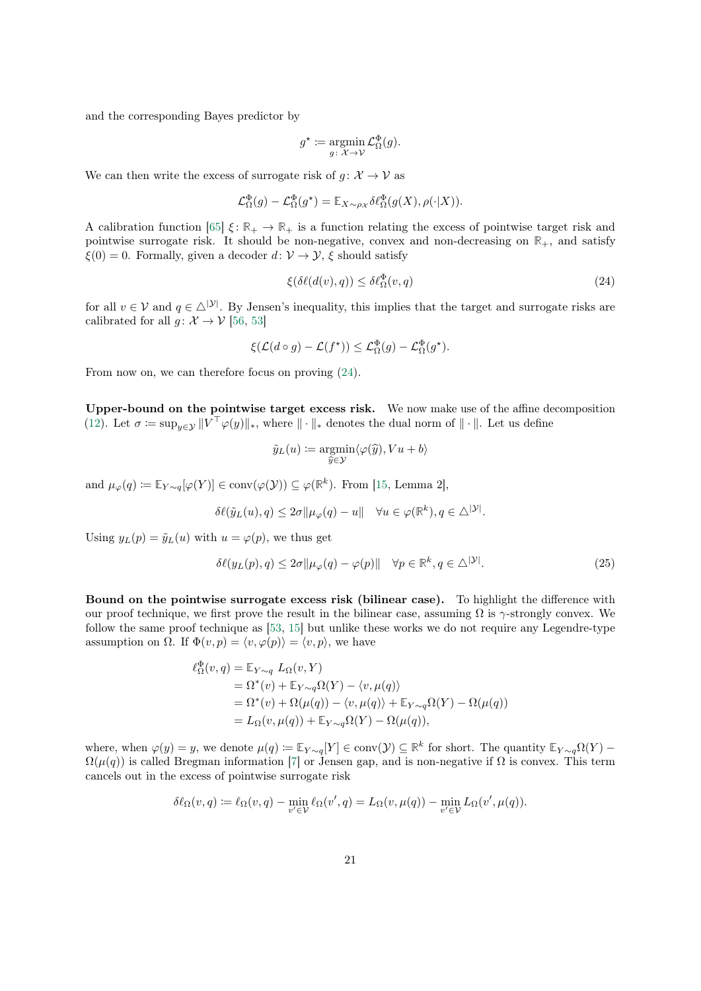<span id="page-20-0"></span>and the corresponding Bayes predictor by

$$
g^* \coloneqq \operatorname*{argmin}_{g \colon \mathcal{X} \to \mathcal{V}} \mathcal{L}^{\Phi}_{\Omega}(g).
$$

We can then write the excess of surrogate risk of  $q: \mathcal{X} \to \mathcal{V}$  as

$$
\mathcal{L}_{\Omega}^{\Phi}(g) - \mathcal{L}_{\Omega}^{\Phi}(g^*) = \mathbb{E}_{X \sim \rho_{\mathcal{X}}} \delta \ell_{\Omega}^{\Phi}(g(X), \rho(\cdot | X)).
$$

A calibration function [\[65\]](#page-14-0)  $\xi \colon \mathbb{R}_+ \to \mathbb{R}_+$  is a function relating the excess of pointwise target risk and pointwise surrogate risk. It should be non-negative, convex and non-decreasing on **R**+, and satisfy  $\xi(0) = 0$ . Formally, given a decoder  $d: \mathcal{V} \to \mathcal{Y}$ ,  $\xi$  should satisfy

$$
\xi(\delta\ell(d(v), q)) \le \delta\ell_{\Omega}^{\Phi}(v, q) \tag{24}
$$

for all  $v \in V$  and  $q \in \triangle^{|\mathcal{Y}|}$ . By Jensen's inequality, this implies that the target and surrogate risks are calibrated for all  $q: \mathcal{X} \to \mathcal{V}$  [\[56,](#page-13-0) [53\]](#page-13-0)

$$
\xi(\mathcal{L}(d\circ g) - \mathcal{L}(f^{\star})) \leq \mathcal{L}^{\Phi}_{\Omega}(g) - \mathcal{L}^{\Phi}_{\Omega}(g^{\star}).
$$

From now on, we can therefore focus on proving (24).

Upper-bound on the pointwise target excess risk. We now make use of the affine decomposition [\(12\)](#page-7-0). Let  $\sigma := \sup_{y \in \mathcal{Y}} ||V^\top \varphi(y)||_*$ , where  $|| \cdot ||_*$  denotes the dual norm of  $|| \cdot ||$ . Let us define

$$
\tilde{y}_L(u) := \operatorname*{argmin}_{\hat{y} \in \mathcal{Y}} \langle \varphi(\hat{y}), Vu + b \rangle
$$

and  $\mu_{\varphi}(q) \coloneqq \mathbb{E}_{Y \sim q}[\varphi(Y)] \in \text{conv}(\varphi(\mathcal{Y})) \subseteq \varphi(\mathbb{R}^k)$ . From [\[15,](#page-11-0) Lemma 2],

$$
\delta \ell(\tilde{y}_L(u), q) \leq 2\sigma \|\mu_{\varphi}(q) - u\| \quad \forall u \in \varphi(\mathbb{R}^k), q \in \triangle^{|\mathcal{Y}|}.
$$

Using  $y_L(p) = \tilde{y}_L(u)$  with  $u = \varphi(p)$ , we thus get

$$
\delta\ell(y_L(p), q) \le 2\sigma \|\mu_{\varphi}(q) - \varphi(p)\| \quad \forall p \in \mathbb{R}^k, q \in \triangle^{|\mathcal{Y}|}.
$$
\n(25)

Bound on the pointwise surrogate excess risk (bilinear case). To highlight the difference with our proof technique, we first prove the result in the bilinear case, assuming  $\Omega$  is  $\gamma$ -strongly convex. We follow the same proof technique as [\[53,](#page-13-0) [15\]](#page-11-0) but unlike these works we do not require any Legendre-type assumption on  $\Omega$ . If  $\Phi(v, p) = \langle v, \varphi(p) \rangle = \langle v, p \rangle$ , we have

$$
\ell_{\Omega}^{\Phi}(v,q) = \mathbb{E}_{Y \sim q} L_{\Omega}(v, Y)
$$
  
=  $\Omega^*(v) + \mathbb{E}_{Y \sim q} \Omega(Y) - \langle v, \mu(q) \rangle$   
=  $\Omega^*(v) + \Omega(\mu(q)) - \langle v, \mu(q) \rangle + \mathbb{E}_{Y \sim q} \Omega(Y) - \Omega(\mu(q))$   
=  $L_{\Omega}(v, \mu(q)) + \mathbb{E}_{Y \sim q} \Omega(Y) - \Omega(\mu(q)),$ 

where, when  $\varphi(y) = y$ , we denote  $\mu(q) \coloneqq \mathbb{E}_{Y \sim q}[Y] \in \text{conv}(\mathcal{Y}) \subseteq \mathbb{R}^k$  for short. The quantity  $\mathbb{E}_{Y \sim q}\Omega(Y)$  –  $\Omega(\mu(q))$  is called Bregman information [\[7\]](#page-11-0) or Jensen gap, and is non-negative if  $\Omega$  is convex. This term cancels out in the excess of pointwise surrogate risk

$$
\delta \ell_{\Omega}(v,q) \coloneqq \ell_{\Omega}(v,q) - \min_{v' \in \mathcal{V}} \ell_{\Omega}(v',q) = L_{\Omega}(v,\mu(q)) - \min_{v' \in \mathcal{V}} L_{\Omega}(v',\mu(q)).
$$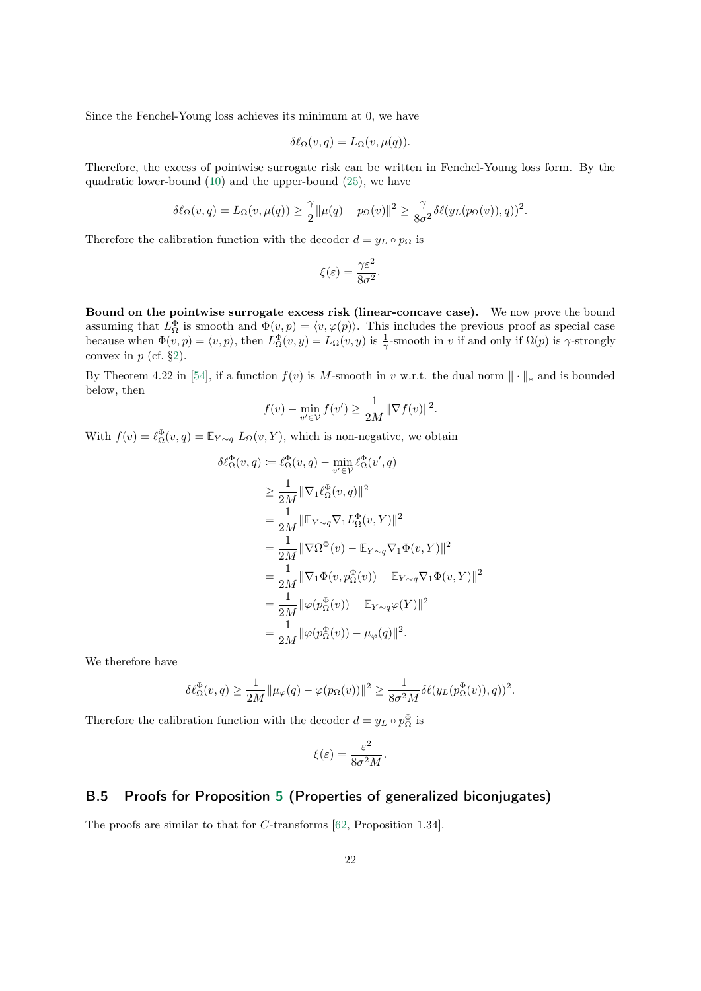<span id="page-21-0"></span>Since the Fenchel-Young loss achieves its minimum at 0, we have

$$
\delta \ell_{\Omega}(v,q) = L_{\Omega}(v,\mu(q)).
$$

Therefore, the excess of pointwise surrogate risk can be written in Fenchel-Young loss form. By the quadratic lower-bound [\(10\)](#page-6-0) and the upper-bound [\(25\)](#page-20-0), we have

$$
\delta \ell_{\Omega}(v,q) = L_{\Omega}(v,\mu(q)) \geq \frac{\gamma}{2} ||\mu(q) - p_{\Omega}(v)||^2 \geq \frac{\gamma}{8\sigma^2} \delta \ell(y_L(p_{\Omega}(v)),q))^2.
$$

Therefore the calibration function with the decoder  $d = y_L \circ p_{\Omega}$  is

$$
\xi(\varepsilon) = \frac{\gamma \varepsilon^2}{8\sigma^2}.
$$

Bound on the pointwise surrogate excess risk (linear-concave case). We now prove the bound assuming that  $L^{\Phi}_{\Omega}$  is smooth and  $\Phi(v, p) = \langle v, \varphi(p) \rangle$ . This includes the previous proof as special case because when  $\Phi(v, p) = \langle v, p \rangle$ , then  $L^{\Phi}_{\Omega}(v, y) = L_{\Omega}(v, y)$  is  $\frac{1}{\gamma}$ -smooth in v if and only if  $\Omega(p)$  is  $\gamma$ -strongly convex in  $p$  (cf. [§2\)](#page-1-0).

By Theorem 4.22 in [\[54\]](#page-13-0), if a function  $f(v)$  is M-smooth in v w.r.t. the dual norm  $\|\cdot\|_*$  and is bounded below, then

$$
f(v) - \min_{v' \in \mathcal{V}} f(v') \ge \frac{1}{2M} \|\nabla f(v)\|^2.
$$

With  $f(v) = \ell_{\Omega}^{\Phi}(v, q) = \mathbb{E}_{Y \sim q} L_{\Omega}(v, Y)$ , which is non-negative, we obtain

$$
\delta \ell_{\Omega}^{\Phi}(v, q) := \ell_{\Omega}^{\Phi}(v, q) - \min_{v' \in \mathcal{V}} \ell_{\Omega}^{\Phi}(v', q)
$$
  
\n
$$
\geq \frac{1}{2M} ||\nabla_1 \ell_{\Omega}^{\Phi}(v, q)||^2
$$
  
\n
$$
= \frac{1}{2M} ||\mathbb{E}_{Y \sim q} \nabla_1 L_{\Omega}^{\Phi}(v, Y)||^2
$$
  
\n
$$
= \frac{1}{2M} ||\nabla \Omega^{\Phi}(v) - \mathbb{E}_{Y \sim q} \nabla_1 \Phi(v, Y)||^2
$$
  
\n
$$
= \frac{1}{2M} ||\nabla_1 \Phi(v, p_{\Omega}^{\Phi}(v)) - \mathbb{E}_{Y \sim q} \nabla_1 \Phi(v, Y)||^2
$$
  
\n
$$
= \frac{1}{2M} ||\varphi(p_{\Omega}^{\Phi}(v)) - \mathbb{E}_{Y \sim q} \varphi(Y)||^2
$$
  
\n
$$
= \frac{1}{2M} ||\varphi(p_{\Omega}^{\Phi}(v)) - \mu_{\varphi}(q)||^2.
$$

We therefore have

$$
\delta \ell_{\Omega}^{\Phi}(v,q) \ge \frac{1}{2M} \|\mu_{\varphi}(q) - \varphi(p_{\Omega}(v))\|^2 \ge \frac{1}{8\sigma^2 M} \delta \ell(y_L(p_{\Omega}^{\Phi}(v)),q))^2.
$$

Therefore the calibration function with the decoder  $d = y_L \circ p_{\Omega}^{\Phi}$  is

$$
\xi(\varepsilon) = \frac{\varepsilon^2}{8\sigma^2 M}.
$$

#### B.5 Proofs for Proposition [5](#page-15-0) (Properties of generalized biconjugates)

The proofs are similar to that for C-transforms [\[62,](#page-14-0) Proposition 1.34].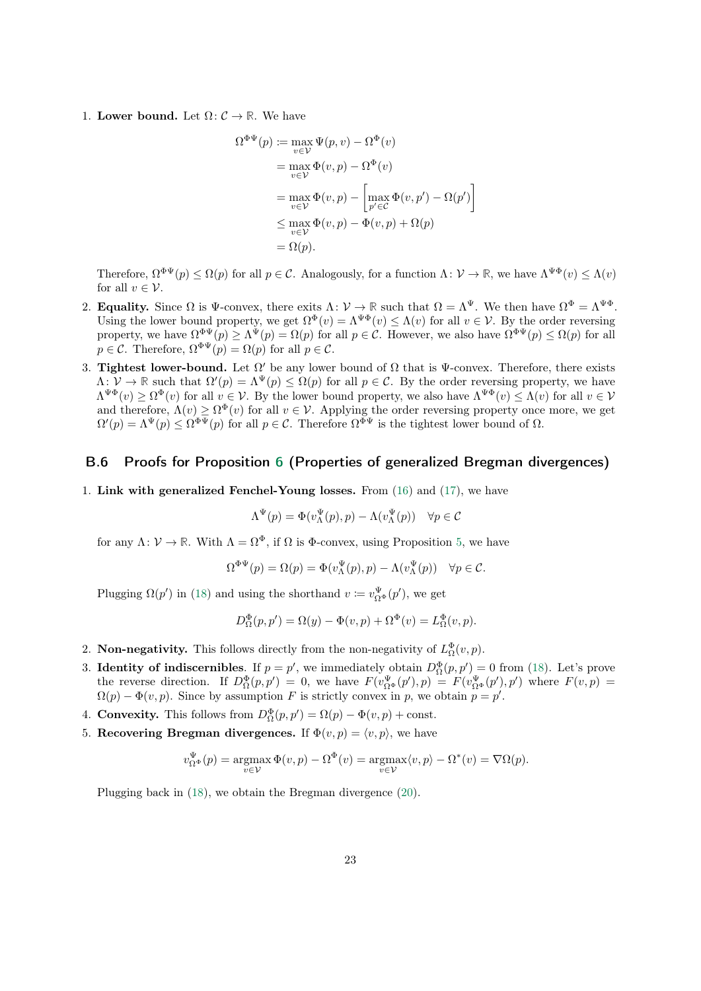<span id="page-22-0"></span>1. Lower bound. Let  $\Omega: \mathcal{C} \to \mathbb{R}$ . We have

$$
\Omega^{\Phi\Psi}(p) := \max_{v \in \mathcal{V}} \Psi(p, v) - \Omega^{\Phi}(v)
$$
  
= 
$$
\max_{v \in \mathcal{V}} \Phi(v, p) - \Omega^{\Phi}(v)
$$
  
= 
$$
\max_{v \in \mathcal{V}} \Phi(v, p) - \left[\max_{p' \in \mathcal{C}} \Phi(v, p') - \Omega(p')\right]
$$
  

$$
\leq \max_{v \in \mathcal{V}} \Phi(v, p) - \Phi(v, p) + \Omega(p)
$$
  
= 
$$
\Omega(p).
$$

Therefore,  $\Omega^{\Phi\Psi}(p) \leq \Omega(p)$  for all  $p \in \mathcal{C}$ . Analogously, for a function  $\Lambda: \mathcal{V} \to \mathbb{R}$ , we have  $\Lambda^{\Psi\Phi}(v) \leq \Lambda(v)$ for all  $v \in \mathcal{V}$ .

- 2. **Equality.** Since  $\Omega$  is  $\Psi$ -convex, there exits  $\Lambda: \mathcal{V} \to \mathbb{R}$  such that  $\Omega = \Lambda^{\Psi}$ . We then have  $\Omega^{\Phi} = \Lambda^{\Psi\Phi}$ . Using the lower bound property, we get  $\Omega^{\Phi}(v) = \Lambda^{\Psi \Phi}(v) \leq \Lambda(v)$  for all  $v \in \mathcal{V}$ . By the order reversing property, we have  $\Omega^{\Phi\Psi}(p) \geq \Lambda^{\Psi}(p) = \Omega(p)$  for all  $p \in \mathcal{C}$ . However, we also have  $\Omega^{\Phi\Psi}(p) \leq \Omega(p)$  for all  $p \in \mathcal{C}$ . Therefore,  $\Omega^{\Phi \Psi}(p) = \Omega(p)$  for all  $p \in \mathcal{C}$ .
- 3. Tightest lower-bound. Let  $\Omega'$  be any lower bound of  $\Omega$  that is  $\Psi$ -convex. Therefore, there exists  $\Lambda: \mathcal{V} \to \mathbb{R}$  such that  $\Omega'(p) = \Lambda^{\Psi}(p) \leq \Omega(p)$  for all  $p \in \mathcal{C}$ . By the order reversing property, we have  $\Lambda^{\Psi\Phi}(v) \geq \Omega^{\Phi}(v)$  for all  $v \in \mathcal{V}$ . By the lower bound property, we also have  $\Lambda^{\Psi\Phi}(v) \leq \Lambda(v)$  for all  $v \in \mathcal{V}$ and therefore,  $\Lambda(v) \geq \Omega^{\Phi}(v)$  for all  $v \in V$ . Applying the order reversing property once more, we get  $\Omega'(p) = \Lambda^{\Psi}(p) \leq \Omega^{\Phi\Psi}(p)$  for all  $p \in \mathcal{C}$ . Therefore  $\Omega^{\Phi\Psi}$  is the tightest lower bound of  $\Omega$ .

#### B.6 Proofs for Proposition [6](#page-16-0) (Properties of generalized Bregman divergences)

1. Link with generalized Fenchel-Young losses. From [\(16\)](#page-15-0) and [\(17\)](#page-15-0), we have

$$
\Lambda^{\Psi}(p) = \Phi(v_{\Lambda}^{\Psi}(p), p) - \Lambda(v_{\Lambda}^{\Psi}(p)) \quad \forall p \in \mathcal{C}
$$

for any  $\Lambda: \mathcal{V} \to \mathbb{R}$ . With  $\Lambda = \Omega^{\Phi}$ , if  $\Omega$  is  $\Phi$ -convex, using Proposition [5,](#page-15-0) we have

$$
\Omega^{\Phi\Psi}(p) = \Omega(p) = \Phi(v_{\Lambda}^{\Psi}(p), p) - \Lambda(v_{\Lambda}^{\Psi}(p)) \quad \forall p \in \mathcal{C}.
$$

Plugging  $\Omega(p')$  in [\(18\)](#page-15-0) and using the shorthand  $v := v_{\Omega^{\Phi}}^{\Psi}(p')$ , we get

$$
D^{\Phi}_{\Omega}(p, p') = \Omega(y) - \Phi(v, p) + \Omega^{\Phi}(v) = L^{\Phi}_{\Omega}(v, p).
$$

- 2. **Non-negativity.** This follows directly from the non-negativity of  $L^{\Phi}_{\Omega}(v, p)$ .
- 3. Identity of indiscernibles. If  $p = p'$ , we immediately obtain  $D_{\Omega}^{\Phi}(p, p') = 0$  from [\(18\)](#page-15-0). Let's prove the reverse direction. If  $D_{\Omega}^{\Phi}(p, p') = 0$ , we have  $F(v_{\Omega^{\Phi}}^{\Psi}(p'), p) = F(v_{\Omega^{\Phi}}^{\Psi}(p'), p')$  where  $F(v, p) =$  $\Omega(p) - \Phi(v, p)$ . Since by assumption F is strictly convex in p, we obtain  $p = p'$ .
- 4. Convexity. This follows from  $D_{\Omega}^{\Phi}(p, p') = \Omega(p) \Phi(v, p) + \text{const.}$
- 5. Recovering Bregman divergences. If  $\Phi(v, p) = \langle v, p \rangle$ , we have

$$
v_{\Omega^{\Phi}}^{\Psi}(p) = \operatorname*{argmax}_{v \in \mathcal{V}} \Phi(v, p) - \Omega^{\Phi}(v) = \operatorname*{argmax}_{v \in \mathcal{V}} \langle v, p \rangle - \Omega^{*}(v) = \nabla \Omega(p).
$$

Plugging back in [\(18\)](#page-15-0), we obtain the Bregman divergence [\(20\)](#page-16-0).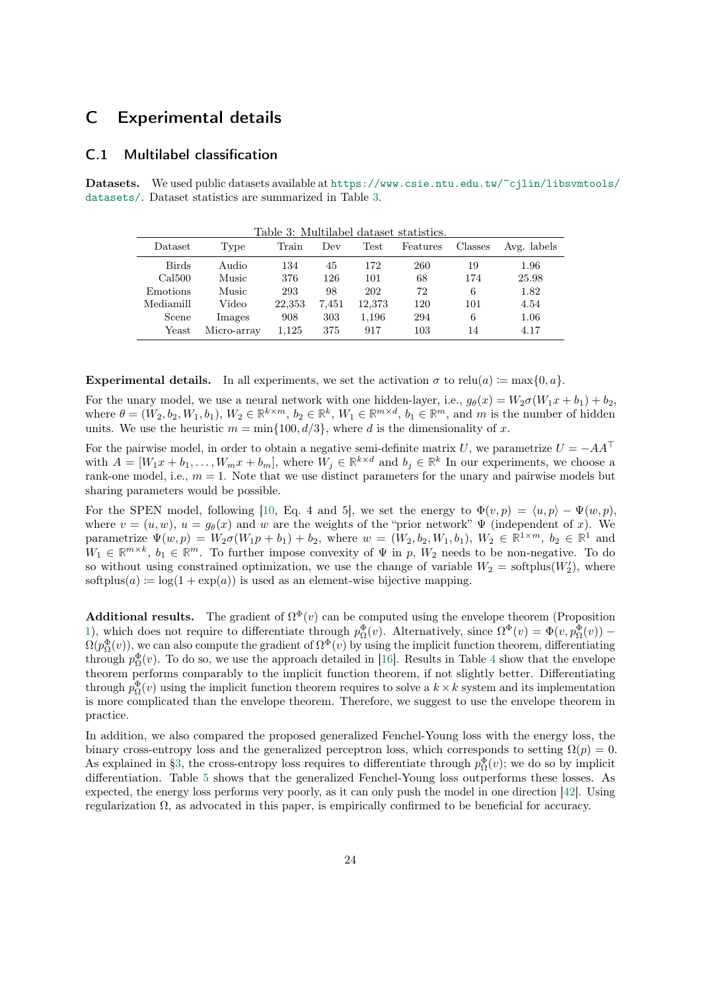## <span id="page-23-0"></span>C Experimental details

#### C.1 Multilabel classification

Datasets. We used public datasets available at [https://www.csie.ntu.edu.tw/~cjlin/libsvmtools/](https://www.csie.ntu.edu.tw/~cjlin/libsvmtools/datasets/) [datasets/](https://www.csie.ntu.edu.tw/~cjlin/libsvmtools/datasets/). Dataset statistics are summarized in Table 3.

Table 3: Multilabel dataset statistics.

| Dataset      | Type        | rabic ə. munimabcı uatascı statistics.<br>Train | Dev   | Test   | Features | Classes | Avg. labels |
|--------------|-------------|-------------------------------------------------|-------|--------|----------|---------|-------------|
| <b>Birds</b> | Audio       | 134                                             | 45    | 172    | 260      | 19      | 1.96        |
| Cal500       | Music       | 376                                             | 126   | 101    | 68       | 174     | 25.98       |
| Emotions     | Music       | 293                                             | 98    | 202    | 72       | 6       | 1.82        |
| Mediamill    | Video       | 22,353                                          | 7.451 | 12,373 | 120      | 101     | 4.54        |
| Scene        | Images      | 908                                             | 303   | 1,196  | 294      | 6       | 1.06        |
| Yeast        | Micro-array | 1,125                                           | 375   | 917    | 103      | 14      | 4.17        |

Experimental details. In all experiments, we set the activation  $\sigma$  to relu(a) := max{0, a}.

For the unary model, we use a neural network with one hidden-layer, i.e.,  $g_{\theta}(x) = W_2 \sigma(W_1 x + b_1) + b_2$ , where  $\theta = (W_2, b_2, W_1, b_1), W_2 \in \mathbb{R}^{k \times m}, b_2 \in \mathbb{R}^k, W_1 \in \mathbb{R}^{m \times d}, b_1 \in \mathbb{R}^m$ , and m is the number of hidden units. We use the heuristic  $m = \min\{100, d/3\}$ , where d is the dimensionality of x.

For the pairwise model, in order to obtain a negative semi-definite matrix U, we parametrize  $U = -AA^{\top}$ with  $A = [W_1x + b_1, \ldots, W_mx + b_m]$ , where  $W_j \in \mathbb{R}^{k \times d}$  and  $b_j \in \mathbb{R}^k$  In our experiments, we choose a rank-one model, i.e.,  $m = 1$ . Note that we use distinct parameters for the unary and pairwise models but sharing parameters would be possible.

For the SPEN model, following [\[10,](#page-11-0) Eq. 4 and 5], we set the energy to  $\Phi(v, p) = \langle u, p \rangle - \Psi(w, p)$ , where  $v = (u, w)$ ,  $u = g_{\theta}(x)$  and w are the weights of the "prior network"  $\Psi$  (independent of x). We parametrize  $\Psi(w, p) = W_2 \sigma(W_1 p + b_1) + b_2$ , where  $w = (W_2, b_2, W_1, b_1), W_2 \in \mathbb{R}^{1 \times m}$ ,  $b_2 \in \mathbb{R}^1$  and  $W_1 \in \mathbb{R}^{m \times k}$ ,  $b_1 \in \mathbb{R}^m$ . To further impose convexity of  $\Psi$  in p,  $W_2$  needs to be non-negative. To do so without using constrained optimization, we use the change of variable  $W_2$  = softplus( $W_2'$ ), where softplus(a) :=  $\log(1 + \exp(a))$  is used as an element-wise bijective mapping.

**Additional results.** The gradient of  $\Omega^{\Phi}(v)$  can be computed using the envelope theorem (Proposition [1\)](#page-5-0), which does not require to differentiate through  $p_{\Omega}^{\Phi}(v)$ . Alternatively, since  $\Omega^{\Phi}(v) = \Phi(v, p_{\Omega}^{\Phi}(v))$  –  $\Omega(p_{\Omega}^{\Phi}(v))$ , we can also compute the gradient of  $\Omega^{\Phi}(v)$  by using the implicit function theorem, differentiating through  $p_{\Omega}^{\Phi}(v)$ . To do so, we use the approach detailed in [\[16\]](#page-11-0). Results in Table [4](#page-24-0) show that the envelope theorem performs comparably to the implicit function theorem, if not slightly better. Differentiating through  $p_{\Omega}^{\Phi}(v)$  using the implicit function theorem requires to solve a  $k \times k$  system and its implementation is more complicated than the envelope theorem. Therefore, we suggest to use the envelope theorem in practice.

In addition, we also compared the proposed generalized Fenchel-Young loss with the energy loss, the binary cross-entropy loss and the generalized perceptron loss, which corresponds to setting  $\Omega(p) = 0$ . As explained in [§3,](#page-2-0) the cross-entropy loss requires to differentiate through  $p_{\Omega}^{\Phi}(v)$ ; we do so by implicit differentiation. Table [5](#page-24-0) shows that the generalized Fenchel-Young loss outperforms these losses. As expected, the energy loss performs very poorly, as it can only push the model in one direction [\[42\]](#page-13-0). Using regularization Ω, as advocated in this paper, is empirically confirmed to be beneficial for accuracy.